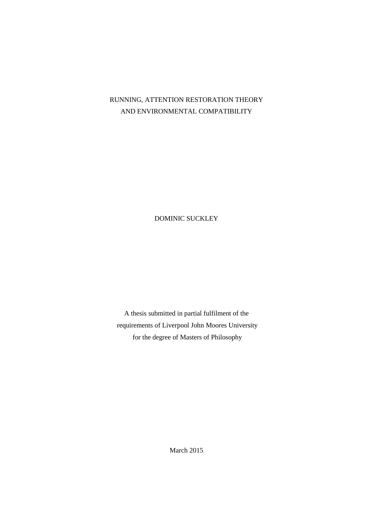# RUNNING, ATTENTION RESTORATION THEORY AND ENVIRONMENTAL COMPATIBILITY

DOMINIC SUCKLEY

A thesis submitted in partial fulfilment of the requirements of Liverpool John Moores University for the degree of Masters of Philosophy

March 2015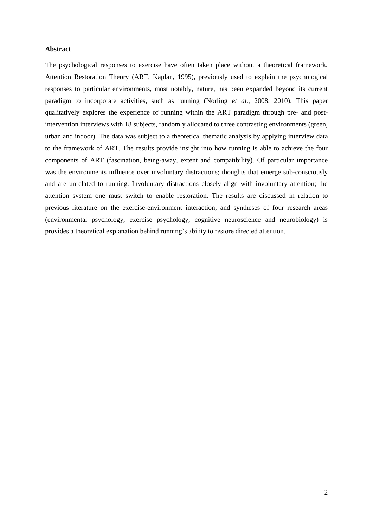## <span id="page-1-0"></span>**Abstract**

The psychological responses to exercise have often taken place without a theoretical framework. Attention Restoration Theory (ART, Kaplan, 1995), previously used to explain the psychological responses to particular environments, most notably, nature, has been expanded beyond its current paradigm to incorporate activities, such as running (Norling *et al*., 2008, 2010). This paper qualitatively explores the experience of running within the ART paradigm through pre- and postintervention interviews with 18 subjects, randomly allocated to three contrasting environments (green, urban and indoor). The data was subject to a theoretical thematic analysis by applying interview data to the framework of ART. The results provide insight into how running is able to achieve the four components of ART (fascination, being-away, extent and compatibility). Of particular importance was the environments influence over involuntary distractions; thoughts that emerge sub-consciously and are unrelated to running. Involuntary distractions closely align with involuntary attention; the attention system one must switch to enable restoration. The results are discussed in relation to previous literature on the exercise-environment interaction, and syntheses of four research areas (environmental psychology, exercise psychology, cognitive neuroscience and neurobiology) is provides a theoretical explanation behind running's ability to restore directed attention.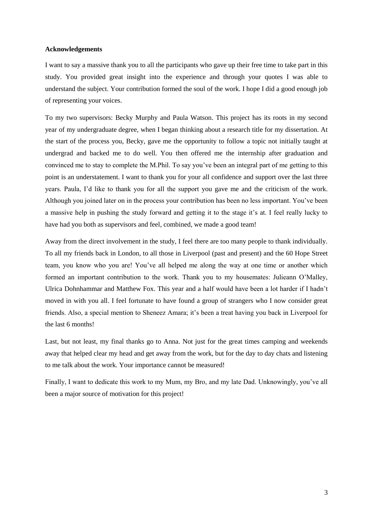## <span id="page-2-0"></span>**Acknowledgements**

I want to say a massive thank you to all the participants who gave up their free time to take part in this study. You provided great insight into the experience and through your quotes I was able to understand the subject. Your contribution formed the soul of the work. I hope I did a good enough job of representing your voices.

To my two supervisors: Becky Murphy and Paula Watson. This project has its roots in my second year of my undergraduate degree, when I began thinking about a research title for my dissertation. At the start of the process you, Becky, gave me the opportunity to follow a topic not initially taught at undergrad and backed me to do well. You then offered me the internship after graduation and convinced me to stay to complete the M.Phil. To say you've been an integral part of me getting to this point is an understatement. I want to thank you for your all confidence and support over the last three years. Paula, I'd like to thank you for all the support you gave me and the criticism of the work. Although you joined later on in the process your contribution has been no less important. You've been a massive help in pushing the study forward and getting it to the stage it's at. I feel really lucky to have had you both as supervisors and feel, combined, we made a good team!

Away from the direct involvement in the study, I feel there are too many people to thank individually. To all my friends back in London, to all those in Liverpool (past and present) and the 60 Hope Street team, you know who you are! You've all helped me along the way at one time or another which formed an important contribution to the work. Thank you to my housemates: Julieann O'Malley, Ulrica Dohnhammar and Matthew Fox. This year and a half would have been a lot harder if I hadn't moved in with you all. I feel fortunate to have found a group of strangers who I now consider great friends. Also, a special mention to Sheneez Amara; it's been a treat having you back in Liverpool for the last 6 months!

Last, but not least, my final thanks go to Anna. Not just for the great times camping and weekends away that helped clear my head and get away from the work, but for the day to day chats and listening to me talk about the work. Your importance cannot be measured!

Finally, I want to dedicate this work to my Mum, my Bro, and my late Dad. Unknowingly, you've all been a major source of motivation for this project!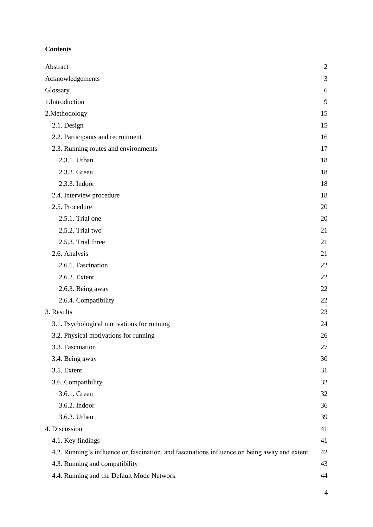## **Contents**

| Abstract                                                                                     | $\overline{2}$ |
|----------------------------------------------------------------------------------------------|----------------|
| Acknowledgements                                                                             | 3              |
| Glossary                                                                                     | 6              |
| 1.Introduction                                                                               | 9              |
| 2.Methodology                                                                                | 15             |
| 2.1. Design                                                                                  | 15             |
| 2.2. Participants and recruitment                                                            | 16             |
| 2.3. Running routes and environments                                                         | 17             |
| 2.3.1. Urban                                                                                 | 18             |
| 2.3.2. Green                                                                                 | 18             |
| 2.3.3. Indoor                                                                                | 18             |
| 2.4. Interview procedure                                                                     | 18             |
| 2.5. Procedure                                                                               | 20             |
| 2.5.1. Trial one                                                                             | 20             |
| 2.5.2. Trial two                                                                             | 21             |
| 2.5.3. Trial three                                                                           | 21             |
| 2.6. Analysis                                                                                | 21             |
| 2.6.1. Fascination                                                                           | 22             |
| 2.6.2. Extent                                                                                | 22             |
| 2.6.3. Being away                                                                            | 22             |
| 2.6.4. Compatibility                                                                         | 22             |
| 3. Results                                                                                   | 23             |
| 3.1. Psychological motivations for running                                                   | 24             |
| 3.2. Physical motivations for running                                                        | 26             |
| 3.3. Fascination                                                                             | 27             |
| 3.4. Being away                                                                              | 30             |
| 3.5. Extent                                                                                  | 31             |
| 3.6. Compatibility                                                                           | 32             |
| 3.6.1. Green                                                                                 | 32             |
| 3.6.2. Indoor                                                                                | 36             |
| 3.6.3. Urban                                                                                 | 39             |
| 4. Discussion                                                                                | 41             |
| 4.1. Key findings                                                                            | 41             |
| 4.2. Running's influence on fascination, and fascinations influence on being away and extent | 42             |
| 4.3. Running and compatibility                                                               | 43             |
| 4.4. Running and the Default Mode Network                                                    | 44             |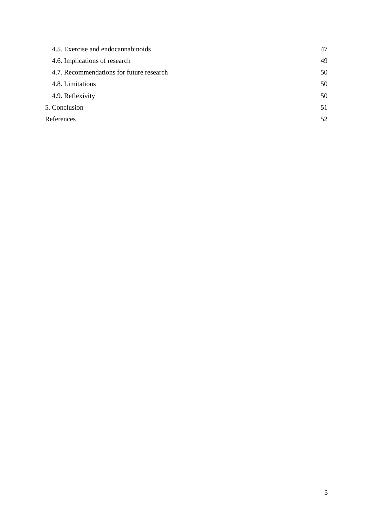| 4.5. Exercise and endocannabinoids       | 47 |
|------------------------------------------|----|
| 4.6. Implications of research            | 49 |
| 4.7. Recommendations for future research | 50 |
| 4.8. Limitations                         | 50 |
| 4.9. Reflexivity                         | 50 |
| 5. Conclusion                            | 51 |
| References                               | 52 |
|                                          |    |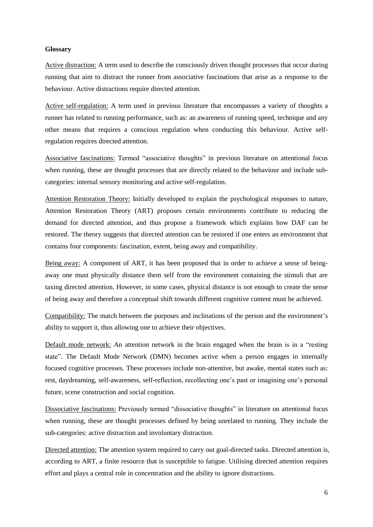## <span id="page-5-0"></span>**Glossary**

Active distraction: A term used to describe the consciously driven thought processes that occur during running that aim to distract the runner from associative fascinations that arise as a response to the behaviour. Active distractions require directed attention.

Active self-regulation: A term used in previous literature that encompasses a variety of thoughts a runner has related to running performance, such as: an awareness of running speed, technique and any other means that requires a conscious regulation when conducting this behaviour. Active selfregulation requires directed attention.

Associative fascinations: Termed "associative thoughts" in previous literature on attentional focus when running, these are thought processes that are directly related to the behaviour and include subcategories: internal sensory monitoring and active self-regulation.

Attention Restoration Theory: Initially developed to explain the psychological responses to nature, Attention Restoration Theory (ART) proposes certain environments contribute to reducing the demand for directed attention, and thus propose a framework which explains how DAF can be restored. The theory suggests that directed attention can be restored if one enters an environment that contains four components: fascination, extent, being away and compatibility.

Being away: A component of ART, it has been proposed that in order to achieve a sense of beingaway one must physically distance them self from the environment containing the stimuli that are taxing directed attention. However, in some cases, physical distance is not enough to create the sense of being away and therefore a conceptual shift towards different cognitive content must be achieved.

Compatibility: The match between the purposes and inclinations of the person and the environment's ability to support it, thus allowing one to achieve their objectives.

Default mode network: An attention network in the brain engaged when the brain is in a "resting state". The Default Mode Network (DMN) becomes active when a person engages in internally focused cognitive processes. These processes include non-attentive, but awake, mental states such as: rest, daydreaming, self-awareness, self-reflection, recollecting one's past or imagining one's personal future, scene construction and social cognition.

Dissociative fascinations: Previously termed "dissociative thoughts" in literature on attentional focus when running, these are thought processes defined by being unrelated to running. They include the sub-categories: active distraction and involuntary distraction.

Directed attention: The attention system required to carry out goal-directed tasks. Directed attention is, according to ART, a finite resource that is susceptible to fatigue. Utilising directed attention requires effort and plays a central role in concentration and the ability to ignore distractions.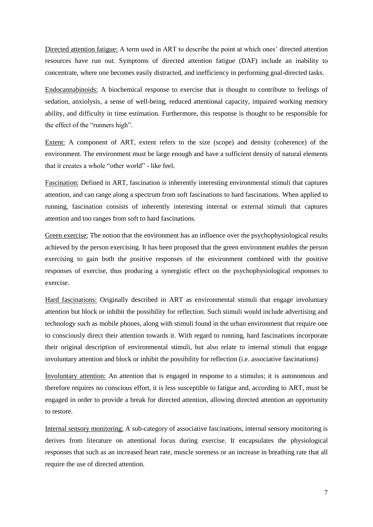Directed attention fatigue: A term used in ART to describe the point at which ones' directed attention resources have run out. Symptoms of directed attention fatigue (DAF) include an inability to concentrate, where one becomes easily distracted, and inefficiency in performing goal-directed tasks.

Endocannabinoids: A biochemical response to exercise that is thought to contribute to feelings of sedation, anxiolysis, a sense of well-being, reduced attentional capacity, impaired working memory ability, and difficulty in time estimation. Furthermore, this response is thought to be responsible for the effect of the "runners high".

Extent: A component of ART, extent refers to the size (scope) and density (coherence) of the environment. The environment must be large enough and have a sufficient density of natural elements that it creates a whole "other world" - like feel.

Fascination: Defined in ART, fascination is inherently interesting environmental stimuli that captures attention, and can range along a spectrum from soft fascinations to hard fascinations. When applied to running, fascination consists of inherently interesting internal or external stimuli that captures attention and too ranges from soft to hard fascinations.

Green exercise: The notion that the environment has an influence over the psychophysiological results achieved by the person exercising. It has been proposed that the green environment enables the person exercising to gain both the positive responses of the environment combined with the positive responses of exercise, thus producing a synergistic effect on the psychophysiological responses to exercise.

Hard fascinations: Originally described in ART as environmental stimuli that engage involuntary attention but block or inhibit the possibility for reflection. Such stimuli would include advertising and technology such as mobile phones, along with stimuli found in the urban environment that require one to consciously direct their attention towards it. With regard to running, hard fascinations incorporate their original description of environmental stimuli, but also relate to internal stimuli that engage involuntary attention and block or inhibit the possibility for reflection (i.e. associative fascinations)

Involuntary attention: An attention that is engaged in response to a stimulus; it is autonomous and therefore requires no conscious effort, it is less susceptible to fatigue and, according to ART, must be engaged in order to provide a break for directed attention, allowing directed attention an opportunity to restore.

Internal sensory monitoring: A sub-category of associative fascinations, internal sensory monitoring is derives from literature on attentional focus during exercise. It encapsulates the physiological responses that such as an increased heart rate, muscle soreness or an increase in breathing rate that all require the use of directed attention.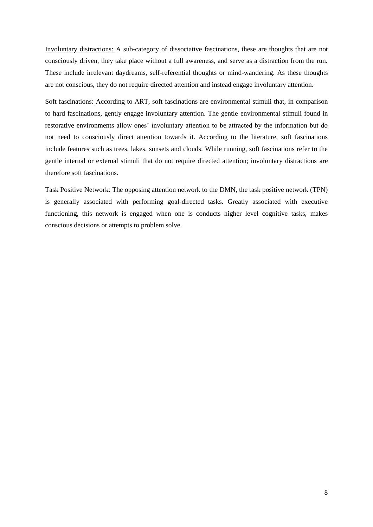Involuntary distractions: A sub-category of dissociative fascinations, these are thoughts that are not consciously driven, they take place without a full awareness, and serve as a distraction from the run. These include irrelevant daydreams, self-referential thoughts or mind-wandering. As these thoughts are not conscious, they do not require directed attention and instead engage involuntary attention.

Soft fascinations: According to ART, soft fascinations are environmental stimuli that, in comparison to hard fascinations, gently engage involuntary attention. The gentle environmental stimuli found in restorative environments allow ones' involuntary attention to be attracted by the information but do not need to consciously direct attention towards it. According to the literature, soft fascinations include features such as trees, lakes, sunsets and clouds. While running, soft fascinations refer to the gentle internal or external stimuli that do not require directed attention; involuntary distractions are therefore soft fascinations.

Task Positive Network: The opposing attention network to the DMN, the task positive network (TPN) is generally associated with performing goal-directed tasks. Greatly associated with executive functioning, this network is engaged when one is conducts higher level cognitive tasks, makes conscious decisions or attempts to problem solve.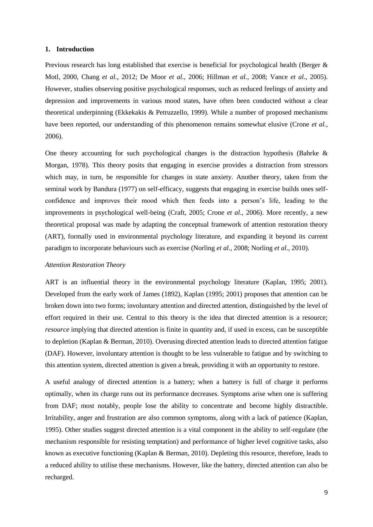## <span id="page-8-0"></span>**1. Introduction**

Previous research has long established that exercise is beneficial for psychological health (Berger & Motl, 2000, Chang *et al.,* 2012; De Moor *et al.,* 2006; Hillman *et al.*, 2008; Vance *et al.,* 2005). However, studies observing positive psychological responses, such as reduced feelings of anxiety and depression and improvements in various mood states, have often been conducted without a clear theoretical underpinning (Ekkekakis & Petruzzello, 1999). While a number of proposed mechanisms have been reported, our understanding of this phenomenon remains somewhat elusive (Crone *et al.*, 2006).

One theory accounting for such psychological changes is the distraction hypothesis (Bahrke  $\&$ Morgan, 1978). This theory posits that engaging in exercise provides a distraction from stressors which may, in turn, be responsible for changes in state anxiety. Another theory, taken from the seminal work by Bandura (1977) on self-efficacy, suggests that engaging in exercise builds ones selfconfidence and improves their mood which then feeds into a person's life, leading to the improvements in psychological well-being (Craft, 2005; Crone *et al.*, 2006). More recently, a new theoretical proposal was made by adapting the conceptual framework of attention restoration theory (ART), formally used in environmental psychology literature, and expanding it beyond its current paradigm to incorporate behaviours such as exercise (Norling *et al.*, 2008; Norling *et al.*, 2010).

## *Attention Restoration Theory*

ART is an influential theory in the environmental psychology literature (Kaplan, 1995; 2001). Developed from the early work of James (1892), Kaplan (1995; 2001) proposes that attention can be broken down into two forms; involuntary attention and directed attention, distinguished by the level of effort required in their use. Central to this theory is the idea that directed attention is a resource; *resource* implying that directed attention is finite in quantity and, if used in excess, can be susceptible to depletion (Kaplan & Berman, 2010). Overusing directed attention leads to directed attention fatigue (DAF). However, involuntary attention is thought to be less vulnerable to fatigue and by switching to this attention system, directed attention is given a break, providing it with an opportunity to restore.

A useful analogy of directed attention is a battery; when a battery is full of charge it performs optimally, when its charge runs out its performance decreases. Symptoms arise when one is suffering from DAF; most notably, people lose the ability to concentrate and become highly distractible. Irritability, anger and frustration are also common symptoms, along with a lack of patience (Kaplan, 1995). Other studies suggest directed attention is a vital component in the ability to self-regulate (the mechanism responsible for resisting temptation) and performance of higher level cognitive tasks, also known as executive functioning (Kaplan & Berman, 2010). Depleting this resource, therefore, leads to a reduced ability to utilise these mechanisms. However, like the battery, directed attention can also be recharged.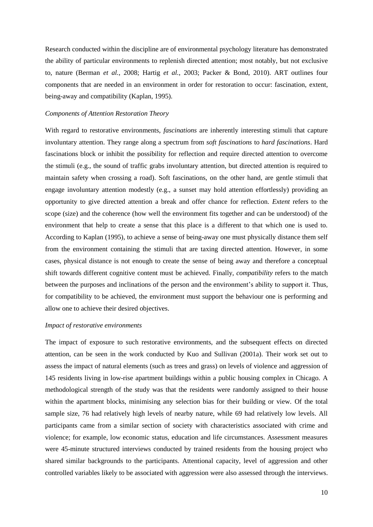Research conducted within the discipline are of environmental psychology literature has demonstrated the ability of particular environments to replenish directed attention; most notably, but not exclusive to, nature (Berman *et al.*, 2008; Hartig *et al.*, 2003; Packer & Bond, 2010). ART outlines four components that are needed in an environment in order for restoration to occur: fascination, extent, being-away and compatibility (Kaplan, 1995).

## *Components of Attention Restoration Theory*

With regard to restorative environments, *fascinations* are inherently interesting stimuli that capture involuntary attention. They range along a spectrum from *soft fascinations* to *hard fascinations*. Hard fascinations block or inhibit the possibility for reflection and require directed attention to overcome the stimuli (e.g., the sound of traffic grabs involuntary attention, but directed attention is required to maintain safety when crossing a road). Soft fascinations, on the other hand, are gentle stimuli that engage involuntary attention modestly (e.g., a sunset may hold attention effortlessly) providing an opportunity to give directed attention a break and offer chance for reflection. *Extent* refers to the scope (size) and the coherence (how well the environment fits together and can be understood) of the environment that help to create a sense that this place is a different to that which one is used to. According to Kaplan (1995), to achieve a sense of being-away one must physically distance them self from the environment containing the stimuli that are taxing directed attention. However, in some cases, physical distance is not enough to create the sense of being away and therefore a conceptual shift towards different cognitive content must be achieved. Finally, *compatibility* refers to the match between the purposes and inclinations of the person and the environment's ability to support it. Thus, for compatibility to be achieved, the environment must support the behaviour one is performing and allow one to achieve their desired objectives.

#### *Impact of restorative environments*

The impact of exposure to such restorative environments, and the subsequent effects on directed attention, can be seen in the work conducted by Kuo and Sullivan (2001a). Their work set out to assess the impact of natural elements (such as trees and grass) on levels of violence and aggression of 145 residents living in low-rise apartment buildings within a public housing complex in Chicago. A methodological strength of the study was that the residents were randomly assigned to their house within the apartment blocks, minimising any selection bias for their building or view. Of the total sample size, 76 had relatively high levels of nearby nature, while 69 had relatively low levels. All participants came from a similar section of society with characteristics associated with crime and violence; for example, low economic status, education and life circumstances. Assessment measures were 45-minute structured interviews conducted by trained residents from the housing project who shared similar backgrounds to the participants. Attentional capacity, level of aggression and other controlled variables likely to be associated with aggression were also assessed through the interviews.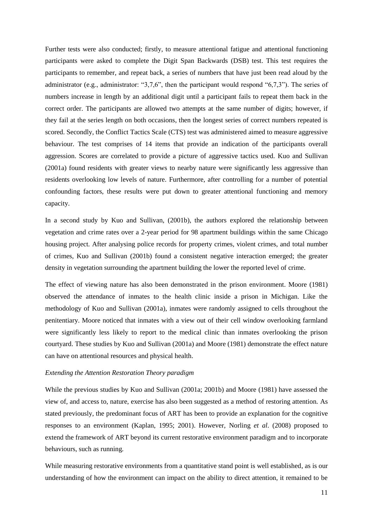Further tests were also conducted; firstly, to measure attentional fatigue and attentional functioning participants were asked to complete the Digit Span Backwards (DSB) test. This test requires the participants to remember, and repeat back, a series of numbers that have just been read aloud by the administrator (e.g., administrator: "3,7,6", then the participant would respond "6,7,3"). The series of numbers increase in length by an additional digit until a participant fails to repeat them back in the correct order. The participants are allowed two attempts at the same number of digits; however, if they fail at the series length on both occasions, then the longest series of correct numbers repeated is scored. Secondly, the Conflict Tactics Scale (CTS) test was administered aimed to measure aggressive behaviour. The test comprises of 14 items that provide an indication of the participants overall aggression. Scores are correlated to provide a picture of aggressive tactics used. Kuo and Sullivan (2001a) found residents with greater views to nearby nature were significantly less aggressive than residents overlooking low levels of nature. Furthermore, after controlling for a number of potential confounding factors, these results were put down to greater attentional functioning and memory capacity.

In a second study by Kuo and Sullivan, (2001b), the authors explored the relationship between vegetation and crime rates over a 2-year period for 98 apartment buildings within the same Chicago housing project. After analysing police records for property crimes, violent crimes, and total number of crimes, Kuo and Sullivan (2001b) found a consistent negative interaction emerged; the greater density in vegetation surrounding the apartment building the lower the reported level of crime.

The effect of viewing nature has also been demonstrated in the prison environment. Moore (1981) observed the attendance of inmates to the health clinic inside a prison in Michigan. Like the methodology of Kuo and Sullivan (2001a), inmates were randomly assigned to cells throughout the penitentiary. Moore noticed that inmates with a view out of their cell window overlooking farmland were significantly less likely to report to the medical clinic than inmates overlooking the prison courtyard. These studies by Kuo and Sullivan (2001a) and Moore (1981) demonstrate the effect nature can have on attentional resources and physical health.

## *Extending the Attention Restoration Theory paradigm*

While the previous studies by Kuo and Sullivan (2001a; 2001b) and Moore (1981) have assessed the view of, and access to, nature, exercise has also been suggested as a method of restoring attention. As stated previously, the predominant focus of ART has been to provide an explanation for the cognitive responses to an environment (Kaplan, 1995; 2001). However, Norling *et al*. (2008) proposed to extend the framework of ART beyond its current restorative environment paradigm and to incorporate behaviours, such as running.

While measuring restorative environments from a quantitative stand point is well established, as is our understanding of how the environment can impact on the ability to direct attention, it remained to be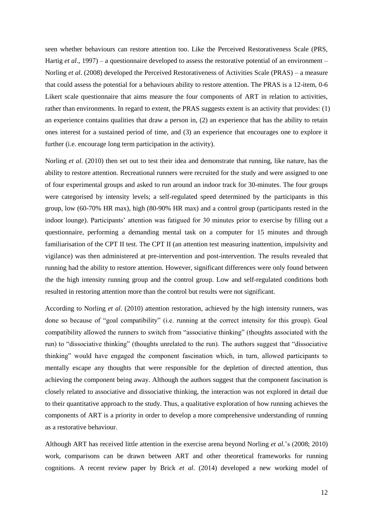seen whether behaviours can restore attention too. Like the Perceived Restorativeness Scale (PRS, Hartig *et al*., 1997) – a questionnaire developed to assess the restorative potential of an environment – Norling *et al*. (2008) developed the Perceived Restorativeness of Activities Scale (PRAS) – a measure that could assess the potential for a behaviours ability to restore attention. The PRAS is a 12-item, 0-6 Likert scale questionnaire that aims measure the four components of ART in relation to activities, rather than environments. In regard to extent, the PRAS suggests extent is an activity that provides: (1) an experience contains qualities that draw a person in, (2) an experience that has the ability to retain ones interest for a sustained period of time, and (3) an experience that encourages one to explore it further (i.e. encourage long term participation in the activity).

Norling *et al*. (2010) then set out to test their idea and demonstrate that running, like nature, has the ability to restore attention. Recreational runners were recruited for the study and were assigned to one of four experimental groups and asked to run around an indoor track for 30-minutes. The four groups were categorised by intensity levels; a self-regulated speed determined by the participants in this group, low (60-70% HR max), high (80-90% HR max) and a control group (participants rested in the indoor lounge). Participants' attention was fatigued for 30 minutes prior to exercise by filling out a questionnaire, performing a demanding mental task on a computer for 15 minutes and through familiarisation of the CPT II test. The CPT II (an attention test measuring inattention, impulsivity and vigilance) was then administered at pre-intervention and post-intervention. The results revealed that running had the ability to restore attention. However, significant differences were only found between the the high intensity running group and the control group. Low and self-regulated conditions both resulted in restoring attention more than the control but results were not significant.

According to Norling *et al*. (2010) attention restoration, achieved by the high intensity runners, was done so because of "goal compatibility" (i.e. running at the correct intensity for this group). Goal compatibility allowed the runners to switch from "associative thinking" (thoughts associated with the run) to "dissociative thinking" (thoughts unrelated to the run). The authors suggest that "dissociative thinking" would have engaged the component fascination which, in turn, allowed participants to mentally escape any thoughts that were responsible for the depletion of directed attention, thus achieving the component being away. Although the authors suggest that the component fascination is closely related to associative and dissociative thinking, the interaction was not explored in detail due to their quantitative approach to the study. Thus, a qualitative exploration of how running achieves the components of ART is a priority in order to develop a more comprehensive understanding of running as a restorative behaviour.

Although ART has received little attention in the exercise arena beyond Norling *et al.*'s (2008; 2010) work, comparisons can be drawn between ART and other theoretical frameworks for running cognitions. A recent review paper by Brick *et al*. (2014) developed a new working model of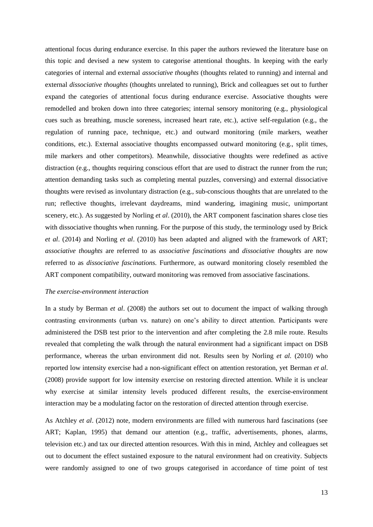attentional focus during endurance exercise. In this paper the authors reviewed the literature base on this topic and devised a new system to categorise attentional thoughts. In keeping with the early categories of internal and external *associative thoughts* (thoughts related to running) and internal and external *dissociative thoughts* (thoughts unrelated to running), Brick and colleagues set out to further expand the categories of attentional focus during endurance exercise. Associative thoughts were remodelled and broken down into three categories; internal sensory monitoring (e.g., physiological cues such as breathing, muscle soreness, increased heart rate, etc.), active self-regulation (e.g., the regulation of running pace, technique, etc.) and outward monitoring (mile markers, weather conditions, etc.). External associative thoughts encompassed outward monitoring (e.g., split times, mile markers and other competitors). Meanwhile, dissociative thoughts were redefined as active distraction (e.g., thoughts requiring conscious effort that are used to distract the runner from the run; attention demanding tasks such as completing mental puzzles, conversing) and external dissociative thoughts were revised as involuntary distraction (e.g., sub-conscious thoughts that are unrelated to the run; reflective thoughts, irrelevant daydreams, mind wandering, imagining music, unimportant scenery, etc.). As suggested by Norling *et al*. (2010), the ART component fascination shares close ties with dissociative thoughts when running. For the purpose of this study, the terminology used by Brick *et al*. (2014) and Norling *et al*. (2010) has been adapted and aligned with the framework of ART; *associative thoughts* are referred to as *associative fascinations* and *dissociative thoughts* are now referred to as *dissociative fascinations.* Furthermore, as outward monitoring closely resembled the ART component compatibility, outward monitoring was removed from associative fascinations.

#### *The exercise-environment interaction*

In a study by Berman *et al*. (2008) the authors set out to document the impact of walking through contrasting environments (urban vs. nature) on one's ability to direct attention. Participants were administered the DSB test prior to the intervention and after completing the 2.8 mile route. Results revealed that completing the walk through the natural environment had a significant impact on DSB performance, whereas the urban environment did not. Results seen by Norling *et al.* (2010) who reported low intensity exercise had a non-significant effect on attention restoration, yet Berman *et al*. (2008) provide support for low intensity exercise on restoring directed attention. While it is unclear why exercise at similar intensity levels produced different results, the exercise-environment interaction may be a modulating factor on the restoration of directed attention through exercise.

As Atchley *et al*. (2012) note, modern environments are filled with numerous hard fascinations (see ART; Kaplan, 1995) that demand our attention (e.g., traffic, advertisements, phones, alarms, television etc.) and tax our directed attention resources. With this in mind, Atchley and colleagues set out to document the effect sustained exposure to the natural environment had on creativity. Subjects were randomly assigned to one of two groups categorised in accordance of time point of test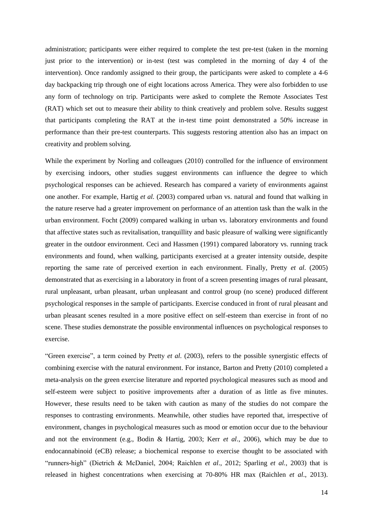administration; participants were either required to complete the test pre-test (taken in the morning just prior to the intervention) or in-test (test was completed in the morning of day 4 of the intervention). Once randomly assigned to their group, the participants were asked to complete a 4-6 day backpacking trip through one of eight locations across America. They were also forbidden to use any form of technology on trip. Participants were asked to complete the Remote Associates Test (RAT) which set out to measure their ability to think creatively and problem solve. Results suggest that participants completing the RAT at the in-test time point demonstrated a 50% increase in performance than their pre-test counterparts. This suggests restoring attention also has an impact on creativity and problem solving.

While the experiment by Norling and colleagues (2010) controlled for the influence of environment by exercising indoors, other studies suggest environments can influence the degree to which psychological responses can be achieved. Research has compared a variety of environments against one another. For example, Hartig *et al.* (2003) compared urban vs. natural and found that walking in the nature reserve had a greater improvement on performance of an attention task than the walk in the urban environment. Focht (2009) compared walking in urban vs. laboratory environments and found that affective states such as revitalisation, tranquillity and basic pleasure of walking were significantly greater in the outdoor environment. Ceci and Hassmen (1991) compared laboratory vs. running track environments and found, when walking, participants exercised at a greater intensity outside, despite reporting the same rate of perceived exertion in each environment. Finally, Pretty *et al.* (2005) demonstrated that as exercising in a laboratory in front of a screen presenting images of rural pleasant, rural unpleasant, urban pleasant, urban unpleasant and control group (no scene) produced different psychological responses in the sample of participants. Exercise conduced in front of rural pleasant and urban pleasant scenes resulted in a more positive effect on self-esteem than exercise in front of no scene. These studies demonstrate the possible environmental influences on psychological responses to exercise.

"Green exercise", a term coined by Pretty *et al.* (2003), refers to the possible synergistic effects of combining exercise with the natural environment. For instance, Barton and Pretty (2010) completed a meta-analysis on the green exercise literature and reported psychological measures such as mood and self-esteem were subject to positive improvements after a duration of as little as five minutes. However, these results need to be taken with caution as many of the studies do not compare the responses to contrasting environments. Meanwhile, other studies have reported that, irrespective of environment, changes in psychological measures such as mood or emotion occur due to the behaviour and not the environment (e.g., Bodin & Hartig, 2003; Kerr *et al*., 2006), which may be due to endocannabinoid (eCB) release; a biochemical response to exercise thought to be associated with "runners-high" (Dietrich & McDaniel, 2004; Raichlen *et al*., 2012; Sparling *et al.*, 2003) that is released in highest concentrations when exercising at 70-80% HR max (Raichlen *et al*., 2013).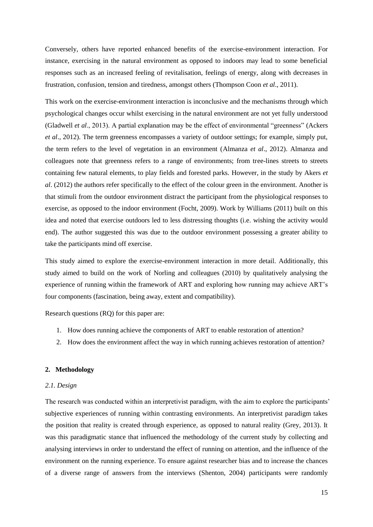Conversely, others have reported enhanced benefits of the exercise-environment interaction. For instance, exercising in the natural environment as opposed to indoors may lead to some beneficial responses such as an increased feeling of revitalisation, feelings of energy, along with decreases in frustration, confusion, tension and tiredness, amongst others (Thompson Coon *et al*., 2011).

This work on the exercise-environment interaction is inconclusive and the mechanisms through which psychological changes occur whilst exercising in the natural environment are not yet fully understood (Gladwell *et al*., 2013). A partial explanation may be the effect of environmental "greenness" (Ackers *et al*., 2012). The term greenness encompasses a variety of outdoor settings; for example, simply put, the term refers to the level of vegetation in an environment (Almanza *et al*., 2012). Almanza and colleagues note that greenness refers to a range of environments; from tree-lines streets to streets containing few natural elements, to play fields and forested parks. However, in the study by Akers *et al*. (2012) the authors refer specifically to the effect of the colour green in the environment. Another is that stimuli from the outdoor environment distract the participant from the physiological responses to exercise, as opposed to the indoor environment (Focht, 2009). Work by Williams (2011) built on this idea and noted that exercise outdoors led to less distressing thoughts (i.e. wishing the activity would end). The author suggested this was due to the outdoor environment possessing a greater ability to take the participants mind off exercise.

This study aimed to explore the exercise-environment interaction in more detail. Additionally, this study aimed to build on the work of Norling and colleagues (2010) by qualitatively analysing the experience of running within the framework of ART and exploring how running may achieve ART's four components (fascination, being away, extent and compatibility).

Research questions (RQ) for this paper are:

- 1. How does running achieve the components of ART to enable restoration of attention?
- 2. How does the environment affect the way in which running achieves restoration of attention?

## <span id="page-14-0"></span>**2. Methodology**

#### <span id="page-14-1"></span>*2.1. Design*

The research was conducted within an interpretivist paradigm, with the aim to explore the participants' subjective experiences of running within contrasting environments. An interpretivist paradigm takes the position that reality is created through experience, as opposed to natural reality (Grey, 2013). It was this paradigmatic stance that influenced the methodology of the current study by collecting and analysing interviews in order to understand the effect of running on attention, and the influence of the environment on the running experience. To ensure against researcher bias and to increase the chances of a diverse range of answers from the interviews (Shenton, 2004) participants were randomly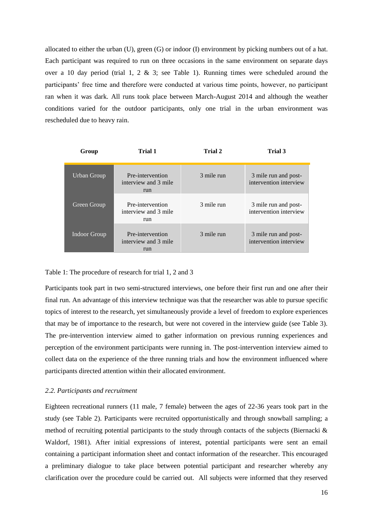allocated to either the urban (U), green (G) or indoor (I) environment by picking numbers out of a hat. Each participant was required to run on three occasions in the same environment on separate days over a 10 day period (trial 1, 2  $\&$  3; see Table 1). Running times were scheduled around the participants' free time and therefore were conducted at various time points, however, no participant ran when it was dark. All runs took place between March-August 2014 and although the weather conditions varied for the outdoor participants, only one trial in the urban environment was rescheduled due to heavy rain.

| Group               | Trial 1                                         | Trial 2    | Trial 3                                        |
|---------------------|-------------------------------------------------|------------|------------------------------------------------|
| Urban Group         | Pre-intervention<br>interview and 3 mile<br>run | 3 mile run | 3 mile run and post-<br>intervention interview |
| Green Group         | Pre-intervention<br>interview and 3 mile<br>run | 3 mile run | 3 mile run and post-<br>intervention interview |
| <b>Indoor Group</b> | Pre-intervention<br>interview and 3 mile<br>run | 3 mile run | 3 mile run and post-<br>intervention interview |

## Table 1: The procedure of research for trial 1, 2 and 3

Participants took part in two semi-structured interviews, one before their first run and one after their final run. An advantage of this interview technique was that the researcher was able to pursue specific topics of interest to the research, yet simultaneously provide a level of freedom to explore experiences that may be of importance to the research, but were not covered in the interview guide (see Table 3). The pre-intervention interview aimed to gather information on previous running experiences and perception of the environment participants were running in. The post-intervention interview aimed to collect data on the experience of the three running trials and how the environment influenced where participants directed attention within their allocated environment.

## <span id="page-15-0"></span>*2.2. Participants and recruitment*

Eighteen recreational runners (11 male, 7 female) between the ages of 22-36 years took part in the study (see Table 2). Participants were recruited opportunistically and through snowball sampling; a method of recruiting potential participants to the study through contacts of the subjects (Biernacki & Waldorf, 1981). After initial expressions of interest, potential participants were sent an email containing a participant information sheet and contact information of the researcher. This encouraged a preliminary dialogue to take place between potential participant and researcher whereby any clarification over the procedure could be carried out. All subjects were informed that they reserved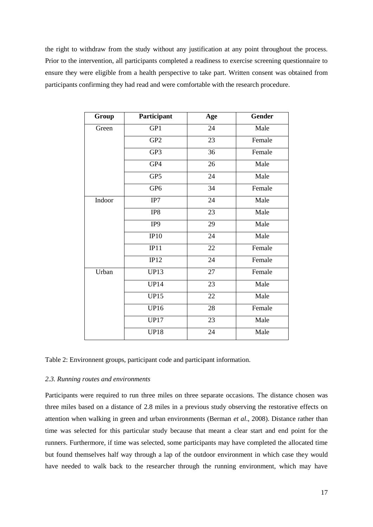the right to withdraw from the study without any justification at any point throughout the process. Prior to the intervention, all participants completed a readiness to exercise screening questionnaire to ensure they were eligible from a health perspective to take part. Written consent was obtained from participants confirming they had read and were comfortable with the research procedure.

| Group  | Participant     | Age             | <b>Gender</b> |
|--------|-----------------|-----------------|---------------|
| Green  | GP1             | 24              | Male          |
|        | GP <sub>2</sub> | 23              | Female        |
|        | GP3             | 36              | Female        |
|        | GP4             | 26              | Male          |
|        | GP5             | 24              | Male          |
|        | GP <sub>6</sub> | 34              | Female        |
| Indoor | IP7             | 24              | Male          |
|        | IP8             | 23              | Male          |
|        | IP9             | 29              | Male          |
|        | IP10            | 24              | Male          |
|        | IP11            | 22              | Female        |
|        | IP12            | $\overline{24}$ | Female        |
| Urban  | <b>UP13</b>     | 27              | Female        |
|        | <b>UP14</b>     | 23              | Male          |
|        | <b>UP15</b>     | 22              | Male          |
|        | <b>UP16</b>     | 28              | Female        |
|        | <b>UP17</b>     | 23              | Male          |
|        | <b>UP18</b>     | 24              | Male          |

Table 2: Environnent groups, participant code and participant information.

## <span id="page-16-0"></span>*2.3. Running routes and environments*

Participants were required to run three miles on three separate occasions. The distance chosen was three miles based on a distance of 2.8 miles in a previous study observing the restorative effects on attention when walking in green and urban environments (Berman *et al*., 2008). Distance rather than time was selected for this particular study because that meant a clear start and end point for the runners. Furthermore, if time was selected, some participants may have completed the allocated time but found themselves half way through a lap of the outdoor environment in which case they would have needed to walk back to the researcher through the running environment, which may have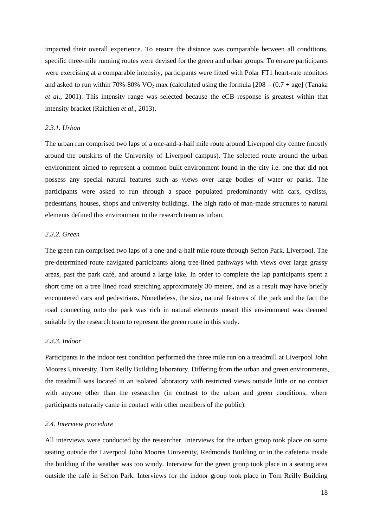impacted their overall experience. To ensure the distance was comparable between all conditions, specific three-mile running routes were devised for the green and urban groups. To ensure participants were exercising at a comparable intensity, participants were fitted with Polar FT1 heart-rate monitors and asked to run within 70%-80% VO<sub>2</sub> max (calculated using the formula  $[208 - (0.7 + \text{age}])$  (Tanaka *et al*., 2001). This intensity range was selected because the eCB response is greatest within that intensity bracket (Raichlen *et al*., 2013),

## <span id="page-17-0"></span>*2.3.1. Urban*

The urban run comprised two laps of a one-and-a-half mile route around Liverpool city centre (mostly around the outskirts of the University of Liverpool campus). The selected route around the urban environment aimed to represent a common built environment found in the city i.e. one that did not possess any special natural features such as views over large bodies of water or parks. The participants were asked to run through a space populated predominantly with cars, cyclists, pedestrians, houses, shops and university buildings. The high ratio of man-made structures to natural elements defined this environment to the research team as urban.

## <span id="page-17-1"></span>*2.3.2. Green*

The green run comprised two laps of a one-and-a-half mile route through Sefton Park, Liverpool. The pre-determined route navigated participants along tree-lined pathways with views over large grassy areas, past the park café, and around a large lake. In order to complete the lap participants spent a short time on a tree lined road stretching approximately 30 meters, and as a result may have briefly encountered cars and pedestrians. Nonetheless, the size, natural features of the park and the fact the road connecting onto the park was rich in natural elements meant this environment was deemed suitable by the research team to represent the green route in this study.

## <span id="page-17-2"></span>*2.3.3. Indoor*

Participants in the indoor test condition performed the three mile run on a treadmill at Liverpool John Moores University, Tom Reilly Building laboratory. Differing from the urban and green environments, the treadmill was located in an isolated laboratory with restricted views outside little or no contact with anyone other than the researcher (in contrast to the urban and green conditions, where participants naturally came in contact with other members of the public).

## <span id="page-17-3"></span>*2.4. Interview procedure*

All interviews were conducted by the researcher. Interviews for the urban group took place on some seating outside the Liverpool John Moores University, Redmonds Building or in the cafeteria inside the building if the weather was too windy. Interview for the green group took place in a seating area outside the café in Sefton Park. Interviews for the indoor group took place in Tom Reilly Building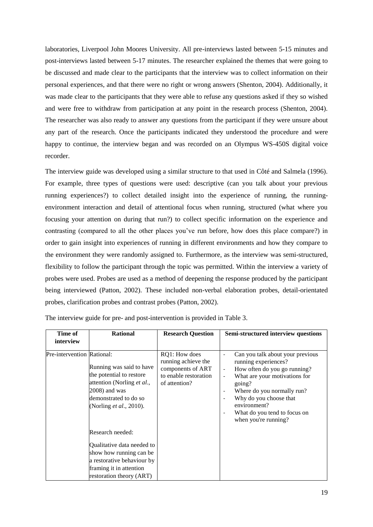laboratories, Liverpool John Moores University. All pre-interviews lasted between 5-15 minutes and post-interviews lasted between 5-17 minutes. The researcher explained the themes that were going to be discussed and made clear to the participants that the interview was to collect information on their personal experiences, and that there were no right or wrong answers (Shenton, 2004). Additionally, it was made clear to the participants that they were able to refuse any questions asked if they so wished and were free to withdraw from participation at any point in the research process (Shenton, 2004). The researcher was also ready to answer any questions from the participant if they were unsure about any part of the research. Once the participants indicated they understood the procedure and were happy to continue, the interview began and was recorded on an Olympus WS-450S digital voice recorder.

The interview guide was developed using a similar structure to that used in Côté and Salmela (1996). For example, three types of questions were used: descriptive (can you talk about your previous running experiences?) to collect detailed insight into the experience of running, the runningenvironment interaction and detail of attentional focus when running, structured (what where you focusing your attention on during that run?) to collect specific information on the experience and contrasting (compared to all the other places you've run before, how does this place compare?) in order to gain insight into experiences of running in different environments and how they compare to the environment they were randomly assigned to. Furthermore, as the interview was semi-structured, flexibility to follow the participant through the topic was permitted. Within the interview a variety of probes were used. Probes are used as a method of deepening the response produced by the participant being interviewed (Patton, 2002). These included non-verbal elaboration probes, detail-orientated probes, clarification probes and contrast probes (Patton, 2002).

| Time of                    | <b>Rational</b>                                                                                                                                         | <b>Research Question</b>                                                                            | Semi-structured interview questions                                                                                                                                                                                                                                                                                                                                                                             |
|----------------------------|---------------------------------------------------------------------------------------------------------------------------------------------------------|-----------------------------------------------------------------------------------------------------|-----------------------------------------------------------------------------------------------------------------------------------------------------------------------------------------------------------------------------------------------------------------------------------------------------------------------------------------------------------------------------------------------------------------|
| interview                  |                                                                                                                                                         |                                                                                                     |                                                                                                                                                                                                                                                                                                                                                                                                                 |
| Pre-intervention Rational: | Running was said to have<br>the potential to restore<br>attention (Norling et al.,<br>2008) and was<br>demonstrated to do so<br>(Norling et al., 2010). | RQ1: How does<br>running achieve the<br>components of ART<br>to enable restoration<br>of attention? | Can you talk about your previous<br>$\overline{\phantom{a}}$<br>running experiences?<br>How often do you go running?<br>$\overline{\phantom{a}}$<br>What are your motivations for<br>going?<br>Where do you normally run?<br>$\overline{\phantom{a}}$<br>Why do you choose that<br>$\overline{\phantom{a}}$<br>environment?<br>What do you tend to focus on<br>$\overline{\phantom{a}}$<br>when you're running? |
|                            | Research needed:                                                                                                                                        |                                                                                                     |                                                                                                                                                                                                                                                                                                                                                                                                                 |
|                            | Qualitative data needed to<br>show how running can be<br>a restorative behaviour by<br>framing it in attention<br>restoration theory (ART)              |                                                                                                     |                                                                                                                                                                                                                                                                                                                                                                                                                 |

The interview guide for pre- and post-intervention is provided in Table 3.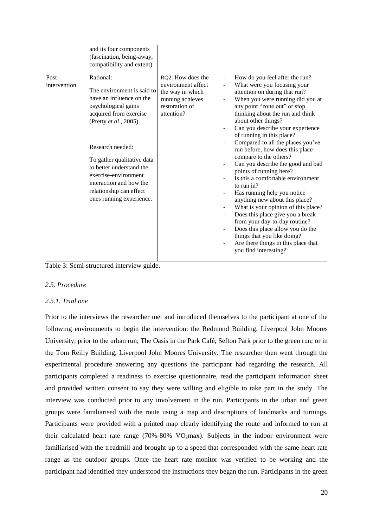|                       | and its four components<br>(fascination, being-away,<br>compatibility and extent)                                                                                                                                                                                                                                                      |                                                                                                                 |                                                                                              |                                                                                                                                                                                                                                                                                                                                                                                                                                                                                                                                                                                                                                                                                                                                                                                                                                     |
|-----------------------|----------------------------------------------------------------------------------------------------------------------------------------------------------------------------------------------------------------------------------------------------------------------------------------------------------------------------------------|-----------------------------------------------------------------------------------------------------------------|----------------------------------------------------------------------------------------------|-------------------------------------------------------------------------------------------------------------------------------------------------------------------------------------------------------------------------------------------------------------------------------------------------------------------------------------------------------------------------------------------------------------------------------------------------------------------------------------------------------------------------------------------------------------------------------------------------------------------------------------------------------------------------------------------------------------------------------------------------------------------------------------------------------------------------------------|
| Post-<br>intervention | Rational:<br>The environment is said to<br>have an influence on the<br>psychological gains<br>acquired from exercise<br>(Pretty et al., 2005).<br>Research needed:<br>To gather qualitative data<br>to better understand the<br>exercise-environment<br>interaction and how the<br>relationship can effect<br>ones running experience. | RQ2: How does the<br>environment affect<br>the way in which<br>running achieves<br>restoration of<br>attention? | $\overline{a}$<br>$\overline{a}$<br>$\overline{a}$<br>÷,<br>Ĭ.<br>L,<br>$\overline{a}$<br>÷, | How do you feel after the run?<br>What were you focusing your<br>attention on during that run?<br>When you were running did you at<br>any point "zone out" or stop<br>thinking about the run and think<br>about other things?<br>Can you describe your experience<br>of running in this place?<br>Compared to all the places you've<br>run before, how does this place<br>compare to the others?<br>Can you describe the good and bad<br>points of running here?<br>Is this a comfortable environment<br>to run in?<br>Has running help you notice<br>anything new about this place?<br>What is your opinion of this place?<br>Does this place give you a break<br>from your day-to-day routine?<br>Does this place allow you do the<br>things that you like doing?<br>Are there things in this place that<br>you find interesting? |
|                       |                                                                                                                                                                                                                                                                                                                                        |                                                                                                                 |                                                                                              |                                                                                                                                                                                                                                                                                                                                                                                                                                                                                                                                                                                                                                                                                                                                                                                                                                     |

Table 3: Semi-structured interview guide.

## <span id="page-19-0"></span>*2.5. Procedure*

## <span id="page-19-1"></span>*2.5.1. Trial one*

Prior to the interviews the researcher met and introduced themselves to the participant at one of the following environments to begin the intervention: the Redmond Building, Liverpool John Moores University, prior to the urban run; The Oasis in the Park Café, Sefton Park prior to the green run; or in the Tom Reilly Building, Liverpool John Moores University. The researcher then went through the experimental procedure answering any questions the participant had regarding the research. All participants completed a readiness to exercise questionnaire, read the participant information sheet and provided written consent to say they were willing and eligible to take part in the study. The interview was conducted prior to any involvement in the run. Participants in the urban and green groups were familiarised with the route using a map and descriptions of landmarks and turnings. Participants were provided with a printed map clearly identifying the route and informed to run at their calculated heart rate range  $(70\% - 80\% \text{ VO}_2 \text{max})$ . Subjects in the indoor environment were familiarised with the treadmill and brought up to a speed that corresponded with the same heart rate range as the outdoor groups. Once the heart rate monitor was verified to be working and the participant had identified they understood the instructions they began the run. Participants in the green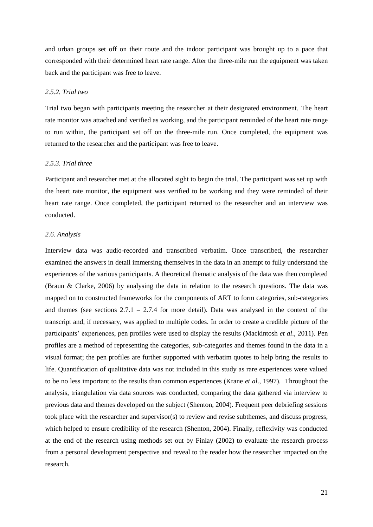and urban groups set off on their route and the indoor participant was brought up to a pace that corresponded with their determined heart rate range. After the three-mile run the equipment was taken back and the participant was free to leave.

## <span id="page-20-0"></span>*2.5.2. Trial two*

Trial two began with participants meeting the researcher at their designated environment. The heart rate monitor was attached and verified as working, and the participant reminded of the heart rate range to run within, the participant set off on the three-mile run. Once completed, the equipment was returned to the researcher and the participant was free to leave.

## <span id="page-20-1"></span>*2.5.3. Trial three*

Participant and researcher met at the allocated sight to begin the trial. The participant was set up with the heart rate monitor, the equipment was verified to be working and they were reminded of their heart rate range. Once completed, the participant returned to the researcher and an interview was conducted.

## <span id="page-20-2"></span>*2.6. Analysis*

Interview data was audio-recorded and transcribed verbatim. Once transcribed, the researcher examined the answers in detail immersing themselves in the data in an attempt to fully understand the experiences of the various participants. A theoretical thematic analysis of the data was then completed (Braun & Clarke, 2006) by analysing the data in relation to the research questions. The data was mapped on to constructed frameworks for the components of ART to form categories, sub-categories and themes (see sections  $2.7.1 - 2.7.4$  for more detail). Data was analysed in the context of the transcript and, if necessary, was applied to multiple codes. In order to create a credible picture of the participants' experiences, pen profiles were used to display the results (Mackintosh *et al*., 2011). Pen profiles are a method of representing the categories, sub-categories and themes found in the data in a visual format; the pen profiles are further supported with verbatim quotes to help bring the results to life. Quantification of qualitative data was not included in this study as rare experiences were valued to be no less important to the results than common experiences (Krane *et al*., 1997). Throughout the analysis, triangulation via data sources was conducted, comparing the data gathered via interview to previous data and themes developed on the subject (Shenton, 2004). Frequent peer debriefing sessions took place with the researcher and supervisor(s) to review and revise subthemes, and discuss progress, which helped to ensure credibility of the research (Shenton, 2004). Finally, reflexivity was conducted at the end of the research using methods set out by Finlay (2002) to evaluate the research process from a personal development perspective and reveal to the reader how the researcher impacted on the research.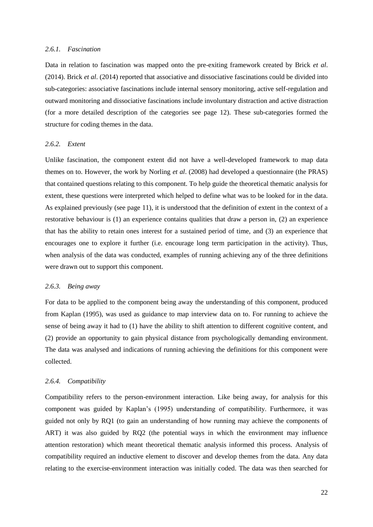## <span id="page-21-0"></span>*2.6.1. Fascination*

Data in relation to fascination was mapped onto the pre-exiting framework created by Brick *et al*. (2014). Brick *et al*. (2014) reported that associative and dissociative fascinations could be divided into sub-categories: associative fascinations include internal sensory monitoring, active self-regulation and outward monitoring and dissociative fascinations include involuntary distraction and active distraction (for a more detailed description of the categories see page 12). These sub-categories formed the structure for coding themes in the data.

## <span id="page-21-1"></span>*2.6.2. Extent*

Unlike fascination, the component extent did not have a well-developed framework to map data themes on to. However, the work by Norling *et al*. (2008) had developed a questionnaire (the PRAS) that contained questions relating to this component. To help guide the theoretical thematic analysis for extent, these questions were interpreted which helped to define what was to be looked for in the data. As explained previously (see page 11), it is understood that the definition of extent in the context of a restorative behaviour is (1) an experience contains qualities that draw a person in, (2) an experience that has the ability to retain ones interest for a sustained period of time, and (3) an experience that encourages one to explore it further (i.e. encourage long term participation in the activity). Thus, when analysis of the data was conducted, examples of running achieving any of the three definitions were drawn out to support this component.

## <span id="page-21-2"></span>*2.6.3. Being away*

For data to be applied to the component being away the understanding of this component, produced from Kaplan (1995), was used as guidance to map interview data on to. For running to achieve the sense of being away it had to (1) have the ability to shift attention to different cognitive content, and (2) provide an opportunity to gain physical distance from psychologically demanding environment. The data was analysed and indications of running achieving the definitions for this component were collected.

## <span id="page-21-3"></span>*2.6.4. Compatibility*

Compatibility refers to the person-environment interaction. Like being away, for analysis for this component was guided by Kaplan's (1995) understanding of compatibility. Furthermore, it was guided not only by RQ1 (to gain an understanding of how running may achieve the components of ART) it was also guided by RQ2 (the potential ways in which the environment may influence attention restoration) which meant theoretical thematic analysis informed this process. Analysis of compatibility required an inductive element to discover and develop themes from the data. Any data relating to the exercise-environment interaction was initially coded. The data was then searched for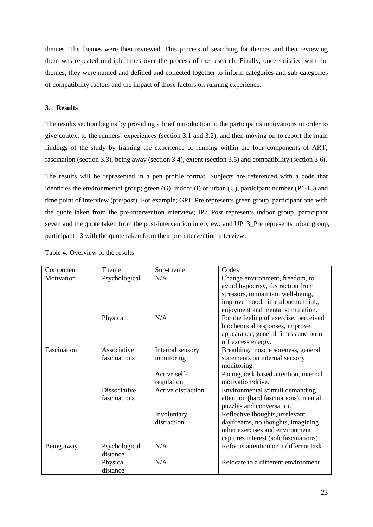themes. The themes were then reviewed. This process of searching for themes and then reviewing them was repeated multiple times over the process of the research. Finally, once satisfied with the themes, they were named and defined and collected together to inform categories and sub-categories of compatibility factors and the impact of those factors on running experience.

## <span id="page-22-0"></span>**3. Results**

The results section begins by providing a brief introduction to the participants motivations in order to give context to the runners' experiences (section 3.1 and 3.2), and then moving on to report the main findings of the study by framing the experience of running within the four components of ART; fascination (section 3.3), being away (section 3.4), extent (section 3.5) and compatibility (section 3.6).

The results will be represented in a pen profile format. Subjects are referenced with a code that identifies the environmental group; green (G), indoor (I) or urban (U), participant number (P1-18) and time point of interview (pre/post). For example; GP1 Pre represents green group, participant one with the quote taken from the pre-intervention interview; IP7\_Post represents indoor group, participant seven and the quote taken from the post-intervention interview; and UP13 Pre represents urban group, participant 13 with the quote taken from their pre-intervention interview.

| Component   | Theme         | Sub-theme          | Codes                                  |
|-------------|---------------|--------------------|----------------------------------------|
| Motivation  | Psychological | N/A                | Change environment, freedom, to        |
|             |               |                    | avoid hypocrisy, distraction from      |
|             |               |                    | stressors, to maintain well-being,     |
|             |               |                    | improve mood, time alone to think,     |
|             |               |                    | enjoyment and mental stimulation.      |
|             | Physical      | N/A                | For the feeling of exercise, perceived |
|             |               |                    | biochemical responses, improve         |
|             |               |                    | appearance, general fitness and burn   |
|             |               |                    | off excess energy.                     |
| Fascination | Associative   | Internal sensory   | Breathing, muscle soreness, general    |
|             | fascinations  | monitoring         | statements on internal sensory         |
|             |               |                    | monitoring.                            |
|             |               | Active self-       | Pacing, task based attention, internal |
|             |               | regulation         | motivation/drive.                      |
|             | Dissociative  | Active distraction | Environmental stimuli demanding        |
|             | fascinations  |                    | attention (hard fascinations), mental  |
|             |               |                    | puzzles and conversation.              |
|             |               | Involuntary        | Reflective thoughts, irrelevant        |
|             |               | distraction        | daydreams, no thoughts, imagining      |
|             |               |                    | other exercises and environment        |
|             |               |                    | captures interest (soft fascinations). |
| Being away  | Psychological | N/A                | Refocus attention on a different task  |
|             | distance      |                    |                                        |
|             | Physical      | N/A                | Relocate to a different environment    |
|             | distance      |                    |                                        |

Table 4: Overview of the results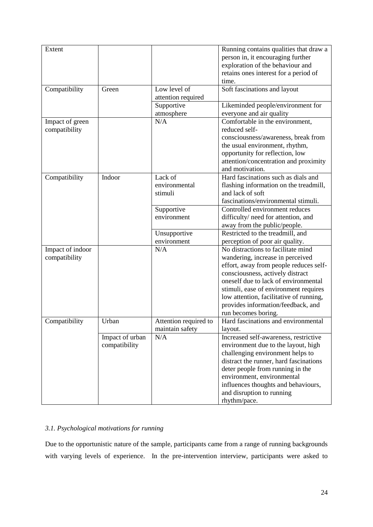| Extent           |                 |                       | Running contains qualities that draw a                           |
|------------------|-----------------|-----------------------|------------------------------------------------------------------|
|                  |                 |                       | person in, it encouraging further                                |
|                  |                 |                       | exploration of the behaviour and                                 |
|                  |                 |                       | retains ones interest for a period of                            |
|                  |                 |                       | time.                                                            |
|                  |                 |                       |                                                                  |
| Compatibility    | Green           | Low level of          | Soft fascinations and layout                                     |
|                  |                 | attention required    |                                                                  |
|                  |                 | Supportive            | Likeminded people/environment for                                |
|                  |                 | atmosphere            | everyone and air quality                                         |
| Impact of green  |                 | N/A                   | Comfortable in the environment,                                  |
| compatibility    |                 |                       | reduced self-                                                    |
|                  |                 |                       | consciousness/awareness, break from                              |
|                  |                 |                       | the usual environment, rhythm,                                   |
|                  |                 |                       | opportunity for reflection, low                                  |
|                  |                 |                       | attention/concentration and proximity                            |
|                  |                 |                       | and motivation.                                                  |
| Compatibility    | Indoor          | Lack of               | Hard fascinations such as dials and                              |
|                  |                 | environmental         | flashing information on the treadmill,                           |
|                  |                 | stimuli               | and lack of soft                                                 |
|                  |                 |                       | fascinations/environmental stimuli.                              |
|                  |                 | Supportive            | Controlled environment reduces                                   |
|                  |                 | environment           | difficulty/ need for attention, and                              |
|                  |                 |                       |                                                                  |
|                  |                 |                       | away from the public/people.<br>Restricted to the treadmill, and |
|                  |                 | Unsupportive          |                                                                  |
|                  |                 | environment           | perception of poor air quality.                                  |
| Impact of indoor |                 | N/A                   | No distractions to facilitate mind                               |
| compatibility    |                 |                       | wandering, increase in perceived                                 |
|                  |                 |                       | effort, away from people reduces self-                           |
|                  |                 |                       | consciousness, actively distract                                 |
|                  |                 |                       | oneself due to lack of environmental                             |
|                  |                 |                       | stimuli, ease of environment requires                            |
|                  |                 |                       | low attention, facilitative of running,                          |
|                  |                 |                       | provides information/feedback, and                               |
|                  |                 |                       | run becomes boring.                                              |
| Compatibility    | Urban           | Attention required to | Hard fascinations and environmental                              |
|                  |                 | maintain safety       | layout.                                                          |
|                  | Impact of urban | N/A                   | Increased self-awareness, restrictive                            |
|                  | compatibility   |                       | environment due to the layout, high                              |
|                  |                 |                       | challenging environment helps to                                 |
|                  |                 |                       | distract the runner, hard fascinations                           |
|                  |                 |                       | deter people from running in the                                 |
|                  |                 |                       | environment, environmental                                       |
|                  |                 |                       | influences thoughts and behaviours,                              |
|                  |                 |                       |                                                                  |
|                  |                 |                       | and disruption to running                                        |
|                  |                 |                       | rhythm/pace.                                                     |

## <span id="page-23-0"></span>*3.1. Psychological motivations for running*

Due to the opportunistic nature of the sample, participants came from a range of running backgrounds with varying levels of experience. In the pre-intervention interview, participants were asked to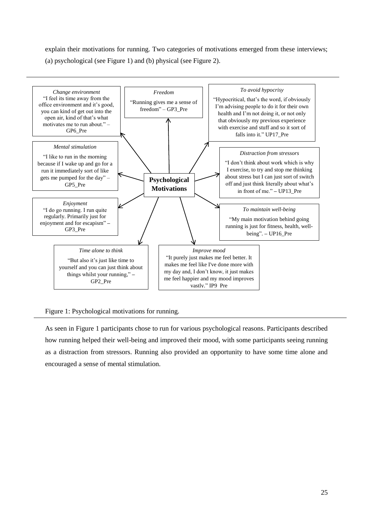explain their motivations for running. Two categories of motivations emerged from these interviews; (a) psychological (see Figure 1) and (b) physical (see Figure 2).



Figure 1: Psychological motivations for running.

As seen in Figure 1 participants chose to run for various psychological reasons. Participants described how running helped their well-being and improved their mood, with some participants seeing running as a distraction from stressors. Running also provided an opportunity to have some time alone and encouraged a sense of mental stimulation.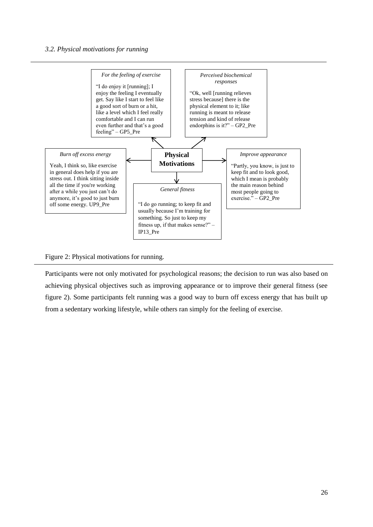<span id="page-25-0"></span>

Figure 2: Physical motivations for running.

Participants were not only motivated for psychological reasons; the decision to run was also based on achieving physical objectives such as improving appearance or to improve their general fitness (see figure 2). Some participants felt running was a good way to burn off excess energy that has built up from a sedentary working lifestyle, while others ran simply for the feeling of exercise.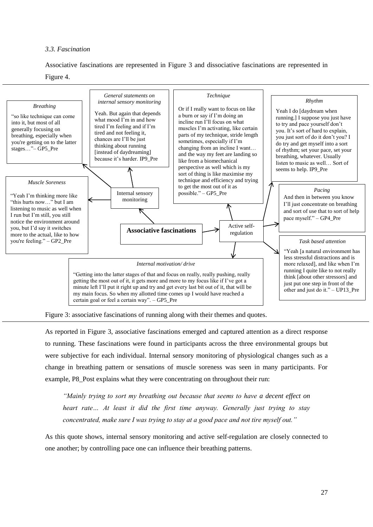## <span id="page-26-0"></span>*3.3. Fascination*

Associative fascinations are represented in Figure 3 and dissociative fascinations are represented in





Figure 3: associative fascinations of running along with their themes and quotes.

As reported in Figure 3, associative fascinations emerged and captured attention as a direct response to running. These fascinations were found in participants across the three environmental groups but were subjective for each individual. Internal sensory monitoring of physiological changes such as a change in breathing pattern or sensations of muscle soreness was seen in many participants. For example, P8\_Post explains what they were concentrating on throughout their run:

*"Mainly trying to sort my breathing out because that seems to have a decent effect on heart rate… At least it did the first time anyway. Generally just trying to stay concentrated, make sure I was trying to stay at a good pace and not tire myself out."*

As this quote shows, internal sensory monitoring and active self-regulation are closely connected to one another; by controlling pace one can influence their breathing patterns.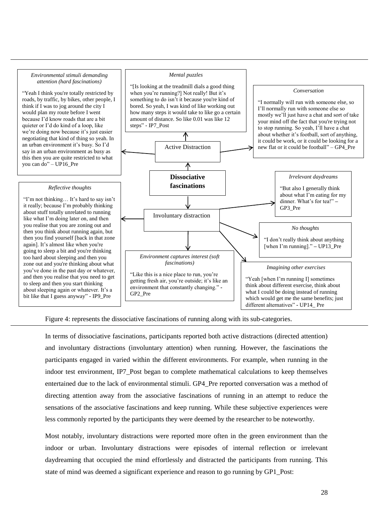#### *Environmental stimuli demanding attention (hard fascinations)*

"Yeah I think you're totally restricted by roads, by traffic, by bikes, other people, I think if I was to jog around the city I would plan my route before I went because I'd know roads that are a bit quieter or I'd do kind of a loop, like we're doing now because it's just easier negotiating that kind of thing so yeah. In an urban environment it's busy. So I'd say in an urban environment as busy as this then you are quite restricted to what you can do" – UP16\_Pre

#### *Reflective thoughts*

"I'm not thinking… It's hard to say isn't it really; because I'm probably thinking about stuff totally unrelated to running like what I'm doing later on, and then you realise that you are zoning out and then you think about running again, but then you find yourself [back in that zone again]. It's almost like when you're going to sleep a bit and you're thinking too hard about sleeping and then you zone out and you're thinking about what you've done in the past day or whatever, and then you realise that you need to get to sleep and then you start thinking about sleeping again or whatever. It's a bit like that I guess anyway" - IP9\_Pre

#### *Mental puzzles*



Figure 4: represents the dissociative fascinations of running along with its sub-categories.

In terms of dissociative fascinations, participants reported both active distractions (directed attention) and involuntary distractions (involuntary attention) when running. However, the fascinations the participants engaged in varied within the different environments. For example, when running in the indoor test environment, IP7\_Post began to complete mathematical calculations to keep themselves entertained due to the lack of environmental stimuli. GP4\_Pre reported conversation was a method of directing attention away from the associative fascinations of running in an attempt to reduce the sensations of the associative fascinations and keep running. While these subjective experiences were less commonly reported by the participants they were deemed by the researcher to be noteworthy.

Most notably, involuntary distractions were reported more often in the green environment than the indoor or urban. Involuntary distractions were episodes of internal reflection or irrelevant daydreaming that occupied the mind effortlessly and distracted the participants from running. This state of mind was deemed a significant experience and reason to go running by GP1\_Post: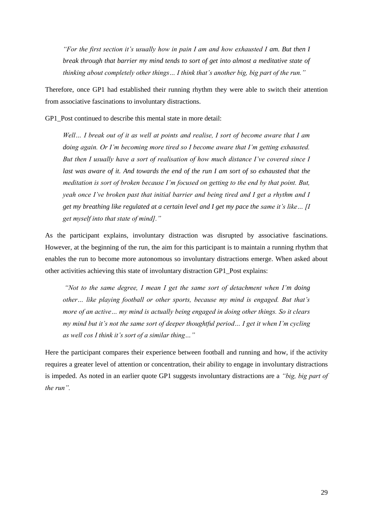*"For the first section it's usually how in pain I am and how exhausted I am. But then I break through that barrier my mind tends to sort of get into almost a meditative state of thinking about completely other things… I think that's another big, big part of the run."*

Therefore, once GP1 had established their running rhythm they were able to switch their attention from associative fascinations to involuntary distractions.

GP1\_Post continued to describe this mental state in more detail:

*Well… I break out of it as well at points and realise, I sort of become aware that I am doing again. Or I'm becoming more tired so I become aware that I'm getting exhausted. But then I usually have a sort of realisation of how much distance I've covered since I*  last was aware of it. And towards the end of the run I am sort of so exhausted that the *meditation is sort of broken because I'm focused on getting to the end by that point. But, yeah once I've broken past that initial barrier and being tired and I get a rhythm and I get my breathing like regulated at a certain level and I get my pace the same it's like… [I get myself into that state of mind]."*

As the participant explains, involuntary distraction was disrupted by associative fascinations. However, at the beginning of the run, the aim for this participant is to maintain a running rhythm that enables the run to become more autonomous so involuntary distractions emerge. When asked about other activities achieving this state of involuntary distraction GP1\_Post explains:

*"Not to the same degree, I mean I get the same sort of detachment when I'm doing other… like playing football or other sports, because my mind is engaged. But that's more of an active… my mind is actually being engaged in doing other things. So it clears my mind but it's not the same sort of deeper thoughtful period… I get it when I'm cycling as well cos I think it's sort of a similar thing…"* 

Here the participant compares their experience between football and running and how, if the activity requires a greater level of attention or concentration, their ability to engage in involuntary distractions is impeded. As noted in an earlier quote GP1 suggests involuntary distractions are a *"big, big part of the run".*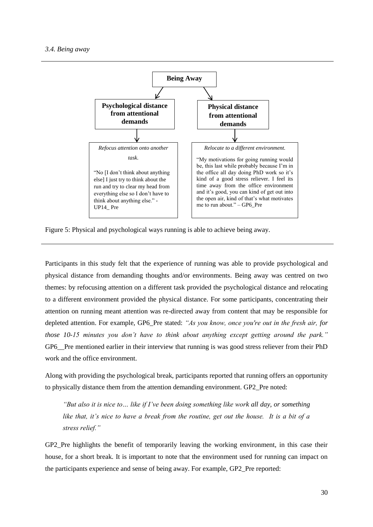<span id="page-29-0"></span>

Figure 5: Physical and psychological ways running is able to achieve being away.

Participants in this study felt that the experience of running was able to provide psychological and physical distance from demanding thoughts and/or environments. Being away was centred on two themes: by refocusing attention on a different task provided the psychological distance and relocating to a different environment provided the physical distance. For some participants, concentrating their attention on running meant attention was re-directed away from content that may be responsible for depleted attention. For example, GP6\_Pre stated: *"As you know, once you're out in the fresh air, for those 10-15 minutes you don't have to think about anything except getting around the park."* GP6 Pre mentioned earlier in their interview that running is was good stress reliever from their PhD work and the office environment.

Along with providing the psychological break, participants reported that running offers an opportunity to physically distance them from the attention demanding environment. GP2\_Pre noted:

*"But also it is nice to… like if I've been doing something like work all day, or something like that, it's nice to have a break from the routine, get out the house. It is a bit of a stress relief."*

GP2\_Pre highlights the benefit of temporarily leaving the working environment, in this case their house, for a short break. It is important to note that the environment used for running can impact on the participants experience and sense of being away. For example, GP2\_Pre reported: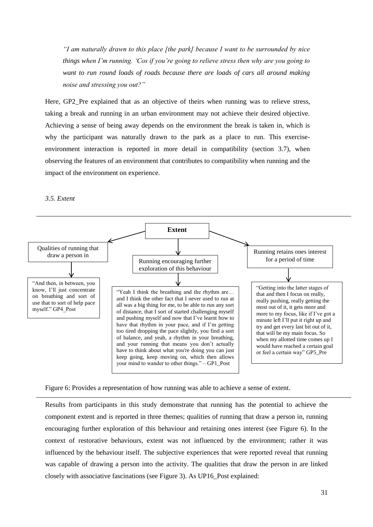*"I am naturally drawn to this place [the park] because I want to be surrounded by nice things when I'm running. 'Cos if you're going to relieve stress then why are you going to want to run round loads of roads because there are loads of cars all around making noise and stressing you out?"*

Here, GP2 Pre explained that as an objective of theirs when running was to relieve stress, taking a break and running in an urban environment may not achieve their desired objective. Achieving a sense of being away depends on the environment the break is taken in, which is why the participant was naturally drawn to the park as a place to run. This exerciseenvironment interaction is reported in more detail in compatibility (section 3.7), when observing the features of an environment that contributes to compatibility when running and the impact of the environment on experience.

## <span id="page-30-0"></span>*3.5. Extent*



Figure 6: Provides a representation of how running was able to achieve a sense of extent.

Results from participants in this study demonstrate that running has the potential to achieve the component extent and is reported in three themes; qualities of running that draw a person in, running encouraging further exploration of this behaviour and retaining ones interest (see Figure 6). In the context of restorative behaviours, extent was not influenced by the environment; rather it was influenced by the behaviour itself. The subjective experiences that were reported reveal that running was capable of drawing a person into the activity. The qualities that draw the person in are linked closely with associative fascinations (see Figure 3). As UP16\_Post explained: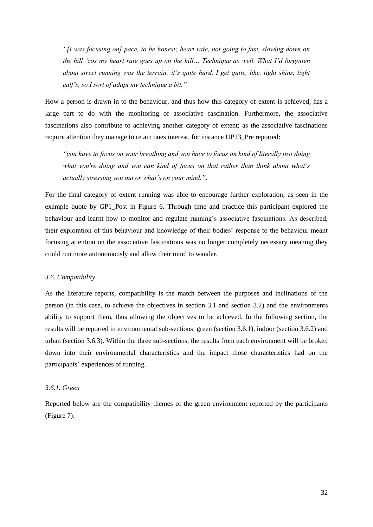*"[I was focusing on] pace, to be honest; heart rate, not going to fast, slowing down on the hill 'cos my heart rate goes up on the hill… Technique as well. What I'd forgotten about street running was the terrain; it's quite hard, I get quite, like, tight shins, tight calf's, so I sort of adapt my technique a bit."* 

How a person is drawn in to the behaviour, and thus how this category of extent is achieved, has a large part to do with the monitoring of associative fascination. Furthermore, the associative fascinations also contribute to achieving another category of extent; as the associative fascinations require attention they manage to retain ones interest, for instance UP13 Pre reported:

*"you have to focus on your breathing and you have to focus on kind of literally just doing what you're doing and you can kind of focus on that rather than think about what's actually stressing you out or what's on your mind."*.

For the final category of extent running was able to encourage further exploration, as seen in the example quote by GP1\_Post in Figure 6. Through time and practice this participant explored the behaviour and learnt how to monitor and regulate running's associative fascinations. As described, their exploration of this behaviour and knowledge of their bodies' response to the behaviour meant focusing attention on the associative fascinations was no longer completely necessary meaning they could run more autonomously and allow their mind to wander.

## <span id="page-31-0"></span>*3.6. Compatibility*

As the literature reports, compatibility is the match between the purposes and inclinations of the person (in this case, to achieve the objectives in section 3.1 and section 3.2) and the environments ability to support them, thus allowing the objectives to be achieved. In the following section, the results will be reported in environmental sub-sections: green (section 3.6.1), indoor (section 3.6.2) and urban (section 3.6.3). Within the three sub-sections, the results from each environment will be broken down into their environmental characteristics and the impact those characteristics had on the participants' experiences of running.

## <span id="page-31-1"></span>*3.6.1. Green*

Reported below are the compatibility themes of the green environment reported by the participants (Figure 7).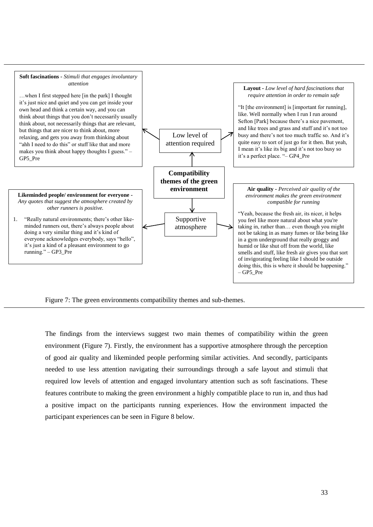

Figure 7: The green environments compatibility themes and sub-themes.

The findings from the interviews suggest two main themes of compatibility within the green environment (Figure 7). Firstly, the environment has a supportive atmosphere through the perception of good air quality and likeminded people performing similar activities. And secondly, participants needed to use less attention navigating their surroundings through a safe layout and stimuli that required low levels of attention and engaged involuntary attention such as soft fascinations. These features contribute to making the green environment a highly compatible place to run in, and thus had a positive impact on the participants running experiences. How the environment impacted the participant experiences can be seen in Figure 8 below.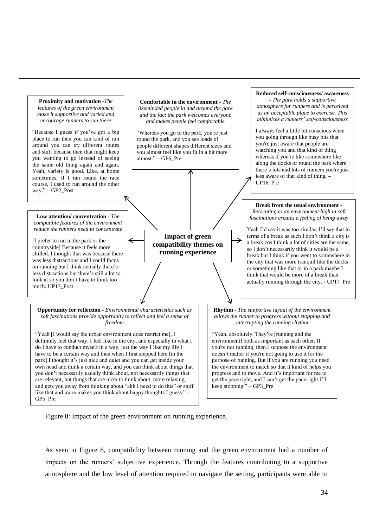

Figure 8: Impact of the green environment on running experience.

As seen in Figure 8, compatibility between running and the green environment had a number of impacts on the runners' subjective experience. Through the features contributing to a supportive atmosphere and the low level of attention required to navigate the setting, participants were able to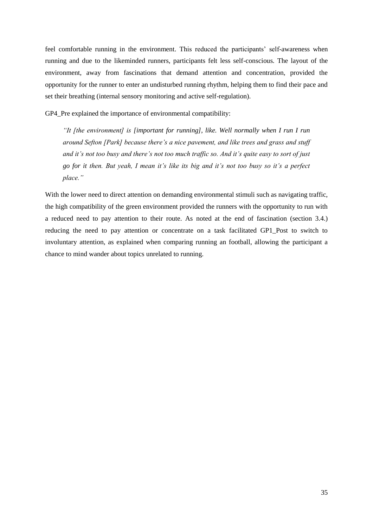feel comfortable running in the environment. This reduced the participants' self-awareness when running and due to the likeminded runners, participants felt less self-conscious. The layout of the environment, away from fascinations that demand attention and concentration, provided the opportunity for the runner to enter an undisturbed running rhythm, helping them to find their pace and set their breathing (internal sensory monitoring and active self-regulation).

GP4 Pre explained the importance of environmental compatibility:

*"It [the environment] is [important for running], like. Well normally when I run I run around Sefton [Park] because there's a nice pavement, and like trees and grass and stuff and it's not too busy and there's not too much traffic so. And it's quite easy to sort of just go for it then. But yeah, I mean it's like its big and it's not too busy so it's a perfect place."*

With the lower need to direct attention on demanding environmental stimuli such as navigating traffic, the high compatibility of the green environment provided the runners with the opportunity to run with a reduced need to pay attention to their route. As noted at the end of fascination (section 3.4.) reducing the need to pay attention or concentrate on a task facilitated GP1\_Post to switch to involuntary attention, as explained when comparing running an football, allowing the participant a chance to mind wander about topics unrelated to running.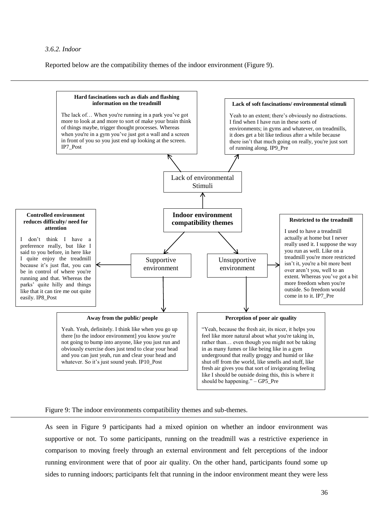<span id="page-35-0"></span>Reported below are the compatibility themes of the indoor environment (Figure 9).



Figure 9: The indoor environments compatibility themes and sub-themes.

As seen in Figure 9 participants had a mixed opinion on whether an indoor environment was supportive or not. To some participants, running on the treadmill was a restrictive experience in comparison to moving freely through an external environment and felt perceptions of the indoor running environment were that of poor air quality. On the other hand, participants found some up sides to running indoors; participants felt that running in the indoor environment meant they were less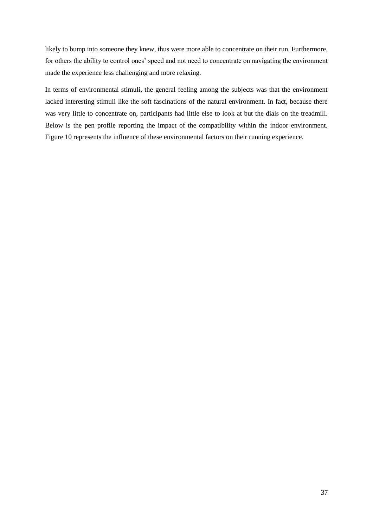likely to bump into someone they knew, thus were more able to concentrate on their run. Furthermore, for others the ability to control ones' speed and not need to concentrate on navigating the environment made the experience less challenging and more relaxing.

In terms of environmental stimuli, the general feeling among the subjects was that the environment lacked interesting stimuli like the soft fascinations of the natural environment. In fact, because there was very little to concentrate on, participants had little else to look at but the dials on the treadmill. Below is the pen profile reporting the impact of the compatibility within the indoor environment. Figure 10 represents the influence of these environmental factors on their running experience.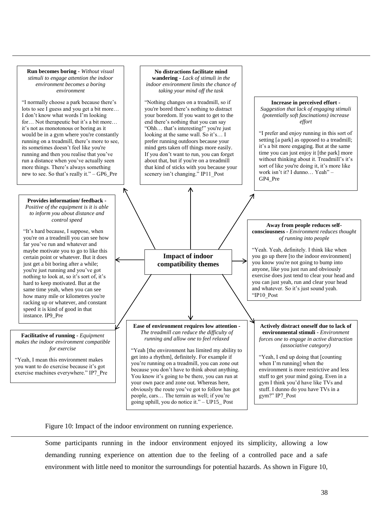

Figure 10: Impact of the indoor environment on running experience.

Some participants running in the indoor environment enjoyed its simplicity, allowing a low demanding running experience on attention due to the feeling of a controlled pace and a safe environment with little need to monitor the surroundings for potential hazards. As shown in Figure 10,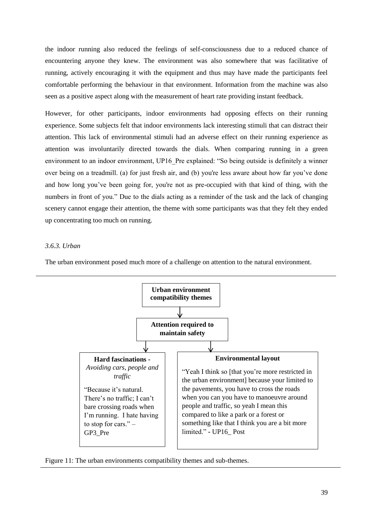the indoor running also reduced the feelings of self-consciousness due to a reduced chance of encountering anyone they knew. The environment was also somewhere that was facilitative of running, actively encouraging it with the equipment and thus may have made the participants feel comfortable performing the behaviour in that environment. Information from the machine was also seen as a positive aspect along with the measurement of heart rate providing instant feedback.

However, for other participants, indoor environments had opposing effects on their running experience. Some subjects felt that indoor environments lack interesting stimuli that can distract their attention. This lack of environmental stimuli had an adverse effect on their running experience as attention was involuntarily directed towards the dials. When comparing running in a green environment to an indoor environment, UP16 Pre explained: "So being outside is definitely a winner over being on a treadmill. (a) for just fresh air, and (b) you're less aware about how far you've done and how long you've been going for, you're not as pre-occupied with that kind of thing, with the numbers in front of you." Due to the dials acting as a reminder of the task and the lack of changing scenery cannot engage their attention, the theme with some participants was that they felt they ended up concentrating too much on running.

## <span id="page-38-0"></span>*3.6.3. Urban*

The urban environment posed much more of a challenge on attention to the natural environment.



Figure 11: The urban environments compatibility themes and sub-themes.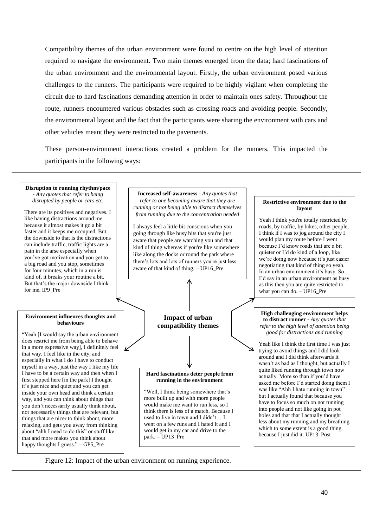Compatibility themes of the urban environment were found to centre on the high level of attention required to navigate the environment. Two main themes emerged from the data; hard fascinations of the urban environment and the environmental layout. Firstly, the urban environment posed various challenges to the runners. The participants were required to be highly vigilant when completing the circuit due to hard fascinations demanding attention in order to maintain ones safety. Throughout the route, runners encountered various obstacles such as crossing roads and avoiding people. Secondly, the environmental layout and the fact that the participants were sharing the environment with cars and other vehicles meant they were restricted to the pavements.

These person-environment interactions created a problem for the runners. This impacted the participants in the following ways:



Figure 12: Impact of the urban environment on running experience.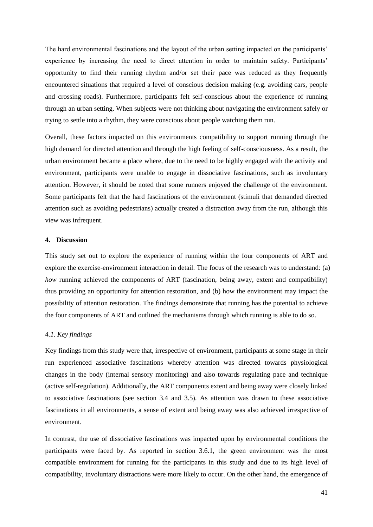The hard environmental fascinations and the layout of the urban setting impacted on the participants' experience by increasing the need to direct attention in order to maintain safety. Participants' opportunity to find their running rhythm and/or set their pace was reduced as they frequently encountered situations that required a level of conscious decision making (e.g. avoiding cars, people and crossing roads). Furthermore, participants felt self-conscious about the experience of running through an urban setting. When subjects were not thinking about navigating the environment safely or trying to settle into a rhythm, they were conscious about people watching them run.

Overall, these factors impacted on this environments compatibility to support running through the high demand for directed attention and through the high feeling of self-consciousness. As a result, the urban environment became a place where, due to the need to be highly engaged with the activity and environment, participants were unable to engage in dissociative fascinations, such as involuntary attention. However, it should be noted that some runners enjoyed the challenge of the environment. Some participants felt that the hard fascinations of the environment (stimuli that demanded directed attention such as avoiding pedestrians) actually created a distraction away from the run, although this view was infrequent.

#### <span id="page-40-0"></span>**4. Discussion**

This study set out to explore the experience of running within the four components of ART and explore the exercise-environment interaction in detail. The focus of the research was to understand: (a) *how* running achieved the components of ART (fascination, being away, extent and compatibility) thus providing an opportunity for attention restoration, and (b) how the environment may impact the possibility of attention restoration. The findings demonstrate that running has the potential to achieve the four components of ART and outlined the mechanisms through which running is able to do so.

## <span id="page-40-1"></span>*4.1. Key findings*

Key findings from this study were that, irrespective of environment, participants at some stage in their run experienced associative fascinations whereby attention was directed towards physiological changes in the body (internal sensory monitoring) and also towards regulating pace and technique (active self-regulation). Additionally, the ART components extent and being away were closely linked to associative fascinations (see section 3.4 and 3.5). As attention was drawn to these associative fascinations in all environments, a sense of extent and being away was also achieved irrespective of environment.

In contrast, the use of dissociative fascinations was impacted upon by environmental conditions the participants were faced by. As reported in section 3.6.1, the green environment was the most compatible environment for running for the participants in this study and due to its high level of compatibility, involuntary distractions were more likely to occur. On the other hand, the emergence of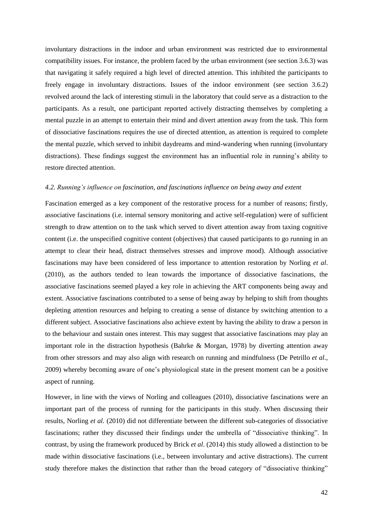involuntary distractions in the indoor and urban environment was restricted due to environmental compatibility issues. For instance, the problem faced by the urban environment (see section 3.6.3) was that navigating it safely required a high level of directed attention. This inhibited the participants to freely engage in involuntary distractions. Issues of the indoor environment (see section 3.6.2) revolved around the lack of interesting stimuli in the laboratory that could serve as a distraction to the participants. As a result, one participant reported actively distracting themselves by completing a mental puzzle in an attempt to entertain their mind and divert attention away from the task. This form of dissociative fascinations requires the use of directed attention, as attention is required to complete the mental puzzle, which served to inhibit daydreams and mind-wandering when running (involuntary distractions). These findings suggest the environment has an influential role in running's ability to restore directed attention.

### <span id="page-41-0"></span>*4.2. Running's influence on fascination, and fascinations influence on being away and extent*

Fascination emerged as a key component of the restorative process for a number of reasons; firstly, associative fascinations (i.e. internal sensory monitoring and active self-regulation) were of sufficient strength to draw attention on to the task which served to divert attention away from taxing cognitive content (i.e. the unspecified cognitive content (objectives) that caused participants to go running in an attempt to clear their head, distract themselves stresses and improve mood). Although associative fascinations may have been considered of less importance to attention restoration by Norling *et al*. (2010), as the authors tended to lean towards the importance of dissociative fascinations, the associative fascinations seemed played a key role in achieving the ART components being away and extent. Associative fascinations contributed to a sense of being away by helping to shift from thoughts depleting attention resources and helping to creating a sense of distance by switching attention to a different subject. Associative fascinations also achieve extent by having the ability to draw a person in to the behaviour and sustain ones interest. This may suggest that associative fascinations may play an important role in the distraction hypothesis (Bahrke & Morgan, 1978) by diverting attention away from other stressors and may also align with research on running and mindfulness (De Petrillo *et al*., 2009) whereby becoming aware of one's physiological state in the present moment can be a positive aspect of running.

However, in line with the views of Norling and colleagues (2010), dissociative fascinations were an important part of the process of running for the participants in this study. When discussing their results, Norling *et al.* (2010) did not differentiate between the different sub-categories of dissociative fascinations; rather they discussed their findings under the umbrella of "dissociative thinking". In contrast, by using the framework produced by Brick *et al*. (2014) this study allowed a distinction to be made within dissociative fascinations (i.e., between involuntary and active distractions). The current study therefore makes the distinction that rather than the broad category of "dissociative thinking"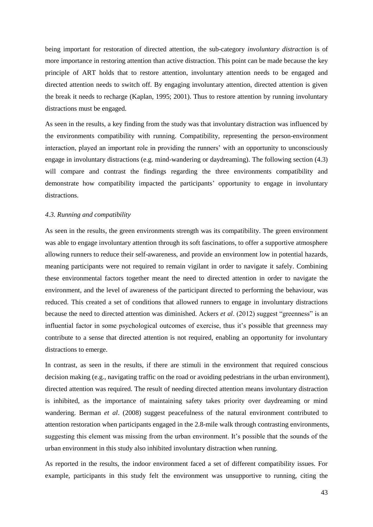being important for restoration of directed attention, the sub-category *involuntary distraction* is of more importance in restoring attention than active distraction. This point can be made because the key principle of ART holds that to restore attention, involuntary attention needs to be engaged and directed attention needs to switch off. By engaging involuntary attention, directed attention is given the break it needs to recharge (Kaplan, 1995; 2001). Thus to restore attention by running involuntary distractions must be engaged.

As seen in the results, a key finding from the study was that involuntary distraction was influenced by the environments compatibility with running. Compatibility, representing the person-environment interaction, played an important role in providing the runners' with an opportunity to unconsciously engage in involuntary distractions (e.g. mind-wandering or daydreaming). The following section (4.3) will compare and contrast the findings regarding the three environments compatibility and demonstrate how compatibility impacted the participants' opportunity to engage in involuntary distractions.

#### <span id="page-42-0"></span>*4.3. Running and compatibility*

As seen in the results, the green environments strength was its compatibility. The green environment was able to engage involuntary attention through its soft fascinations, to offer a supportive atmosphere allowing runners to reduce their self-awareness, and provide an environment low in potential hazards, meaning participants were not required to remain vigilant in order to navigate it safely. Combining these environmental factors together meant the need to directed attention in order to navigate the environment, and the level of awareness of the participant directed to performing the behaviour, was reduced. This created a set of conditions that allowed runners to engage in involuntary distractions because the need to directed attention was diminished. Ackers *et al*. (2012) suggest "greenness" is an influential factor in some psychological outcomes of exercise, thus it's possible that greenness may contribute to a sense that directed attention is not required, enabling an opportunity for involuntary distractions to emerge.

In contrast, as seen in the results, if there are stimuli in the environment that required conscious decision making (e.g., navigating traffic on the road or avoiding pedestrians in the urban environment), directed attention was required. The result of needing directed attention means involuntary distraction is inhibited, as the importance of maintaining safety takes priority over daydreaming or mind wandering. Berman *et al*. (2008) suggest peacefulness of the natural environment contributed to attention restoration when participants engaged in the 2.8-mile walk through contrasting environments, suggesting this element was missing from the urban environment. It's possible that the sounds of the urban environment in this study also inhibited involuntary distraction when running.

As reported in the results, the indoor environment faced a set of different compatibility issues. For example, participants in this study felt the environment was unsupportive to running, citing the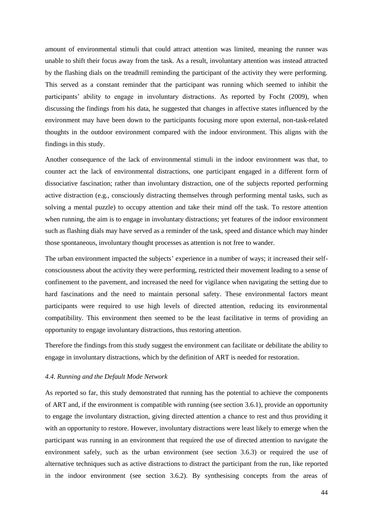amount of environmental stimuli that could attract attention was limited, meaning the runner was unable to shift their focus away from the task. As a result, involuntary attention was instead attracted by the flashing dials on the treadmill reminding the participant of the activity they were performing. This served as a constant reminder that the participant was running which seemed to inhibit the participants' ability to engage in involuntary distractions. As reported by Focht (2009), when discussing the findings from his data, he suggested that changes in affective states influenced by the environment may have been down to the participants focusing more upon external, non-task-related thoughts in the outdoor environment compared with the indoor environment. This aligns with the findings in this study.

Another consequence of the lack of environmental stimuli in the indoor environment was that, to counter act the lack of environmental distractions, one participant engaged in a different form of dissociative fascination; rather than involuntary distraction, one of the subjects reported performing active distraction (e.g., consciously distracting themselves through performing mental tasks, such as solving a mental puzzle) to occupy attention and take their mind off the task. To restore attention when running, the aim is to engage in involuntary distractions; yet features of the indoor environment such as flashing dials may have served as a reminder of the task, speed and distance which may hinder those spontaneous, involuntary thought processes as attention is not free to wander.

The urban environment impacted the subjects' experience in a number of ways; it increased their selfconsciousness about the activity they were performing, restricted their movement leading to a sense of confinement to the pavement, and increased the need for vigilance when navigating the setting due to hard fascinations and the need to maintain personal safety. These environmental factors meant participants were required to use high levels of directed attention, reducing its environmental compatibility. This environment then seemed to be the least facilitative in terms of providing an opportunity to engage involuntary distractions, thus restoring attention.

Therefore the findings from this study suggest the environment can facilitate or debilitate the ability to engage in involuntary distractions, which by the definition of ART is needed for restoration.

## <span id="page-43-0"></span>*4.4. Running and the Default Mode Network*

As reported so far, this study demonstrated that running has the potential to achieve the components of ART and, if the environment is compatible with running (see section 3.6.1), provide an opportunity to engage the involuntary distraction, giving directed attention a chance to rest and thus providing it with an opportunity to restore. However, involuntary distractions were least likely to emerge when the participant was running in an environment that required the use of directed attention to navigate the environment safely, such as the urban environment (see section 3.6.3) or required the use of alternative techniques such as active distractions to distract the participant from the run, like reported in the indoor environment (see section 3.6.2). By synthesising concepts from the areas of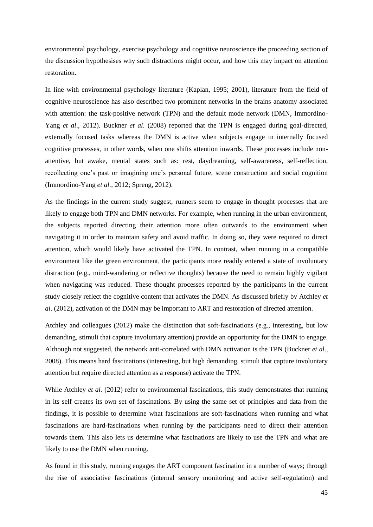environmental psychology, exercise psychology and cognitive neuroscience the proceeding section of the discussion hypothesises why such distractions might occur, and how this may impact on attention restoration.

In line with environmental psychology literature (Kaplan, 1995; 2001), literature from the field of cognitive neuroscience has also described two prominent networks in the brains anatomy associated with attention: the task-positive network (TPN) and the default mode network (DMN, Immordino-Yang *et al*., 2012). Buckner *et al*. (2008) reported that the TPN is engaged during goal-directed, externally focused tasks whereas the DMN is active when subjects engage in internally focused cognitive processes, in other words, when one shifts attention inwards. These processes include nonattentive, but awake, mental states such as: rest, daydreaming, self-awareness, self-reflection, recollecting one's past or imagining one's personal future, scene construction and social cognition (Immordino-Yang *et al.*, 2012; Spreng, 2012).

As the findings in the current study suggest, runners seem to engage in thought processes that are likely to engage both TPN and DMN networks. For example, when running in the urban environment, the subjects reported directing their attention more often outwards to the environment when navigating it in order to maintain safety and avoid traffic. In doing so, they were required to direct attention, which would likely have activated the TPN. In contrast, when running in a compatible environment like the green environment, the participants more readily entered a state of involuntary distraction (e.g., mind-wandering or reflective thoughts) because the need to remain highly vigilant when navigating was reduced. These thought processes reported by the participants in the current study closely reflect the cognitive content that activates the DMN. As discussed briefly by Atchley *et al*. (2012), activation of the DMN may be important to ART and restoration of directed attention.

Atchley and colleagues (2012) make the distinction that soft-fascinations (e.g., interesting, but low demanding, stimuli that capture involuntary attention) provide an opportunity for the DMN to engage. Although not suggested, the network anti-correlated with DMN activation is the TPN (Buckner *et al*., 2008). This means hard fascinations (interesting, but high demanding, stimuli that capture involuntary attention but require directed attention as a response) activate the TPN.

While Atchley *et al.* (2012) refer to environmental fascinations, this study demonstrates that running in its self creates its own set of fascinations. By using the same set of principles and data from the findings, it is possible to determine what fascinations are soft-fascinations when running and what fascinations are hard-fascinations when running by the participants need to direct their attention towards them. This also lets us determine what fascinations are likely to use the TPN and what are likely to use the DMN when running.

As found in this study, running engages the ART component fascination in a number of ways; through the rise of associative fascinations (internal sensory monitoring and active self-regulation) and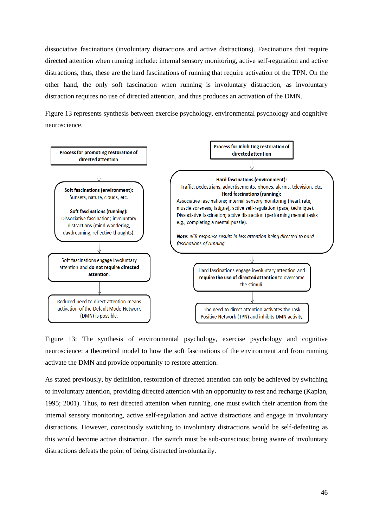dissociative fascinations (involuntary distractions and active distractions). Fascinations that require directed attention when running include: internal sensory monitoring, active self-regulation and active distractions, thus, these are the hard fascinations of running that require activation of the TPN. On the other hand, the only soft fascination when running is involuntary distraction, as involuntary distraction requires no use of directed attention, and thus produces an activation of the DMN.

Figure 13 represents synthesis between exercise psychology, environmental psychology and cognitive neuroscience.



Figure 13: The synthesis of environmental psychology, exercise psychology and cognitive neuroscience: a theoretical model to how the soft fascinations of the environment and from running activate the DMN and provide opportunity to restore attention.

As stated previously, by definition, restoration of directed attention can only be achieved by switching to involuntary attention, providing directed attention with an opportunity to rest and recharge (Kaplan, 1995; 2001). Thus, to rest directed attention when running, one must switch their attention from the internal sensory monitoring, active self-regulation and active distractions and engage in involuntary distractions. However, consciously switching to involuntary distractions would be self-defeating as this would become active distraction. The switch must be sub-conscious; being aware of involuntary distractions defeats the point of being distracted involuntarily.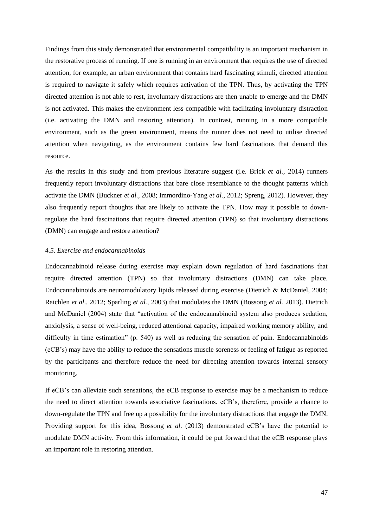Findings from this study demonstrated that environmental compatibility is an important mechanism in the restorative process of running. If one is running in an environment that requires the use of directed attention, for example, an urban environment that contains hard fascinating stimuli, directed attention is required to navigate it safely which requires activation of the TPN. Thus, by activating the TPN directed attention is not able to rest, involuntary distractions are then unable to emerge and the DMN is not activated. This makes the environment less compatible with facilitating involuntary distraction (i.e. activating the DMN and restoring attention). In contrast, running in a more compatible environment, such as the green environment, means the runner does not need to utilise directed attention when navigating, as the environment contains few hard fascinations that demand this resource.

As the results in this study and from previous literature suggest (i.e. Brick *et al.*, 2014) runners frequently report involuntary distractions that bare close resemblance to the thought patterns which activate the DMN (Buckner *et al.*, 2008; Immordino-Yang *et al.*, 2012; Spreng, 2012). However, they also frequently report thoughts that are likely to activate the TPN. How may it possible to downregulate the hard fascinations that require directed attention (TPN) so that involuntary distractions (DMN) can engage and restore attention?

## <span id="page-46-0"></span>*4.5. Exercise and endocannabinoids*

Endocannabinoid release during exercise may explain down regulation of hard fascinations that require directed attention (TPN) so that involuntary distractions (DMN) can take place. Endocannabinoids are neuromodulatory lipids released during exercise (Dietrich & McDaniel, 2004; Raichlen *et al*., 2012; Sparling *et al.*, 2003) that modulates the DMN (Bossong *et al.* 2013). Dietrich and McDaniel (2004) state that "activation of the endocannabinoid system also produces sedation, anxiolysis, a sense of well-being, reduced attentional capacity, impaired working memory ability, and difficulty in time estimation" (p. 540) as well as reducing the sensation of pain. Endocannabinoids (eCB's) may have the ability to reduce the sensations muscle soreness or feeling of fatigue as reported by the participants and therefore reduce the need for directing attention towards internal sensory monitoring.

If eCB's can alleviate such sensations, the eCB response to exercise may be a mechanism to reduce the need to direct attention towards associative fascinations. eCB's, therefore, provide a chance to down-regulate the TPN and free up a possibility for the involuntary distractions that engage the DMN. Providing support for this idea, Bossong *et al*. (2013) demonstrated eCB's have the potential to modulate DMN activity. From this information, it could be put forward that the eCB response plays an important role in restoring attention.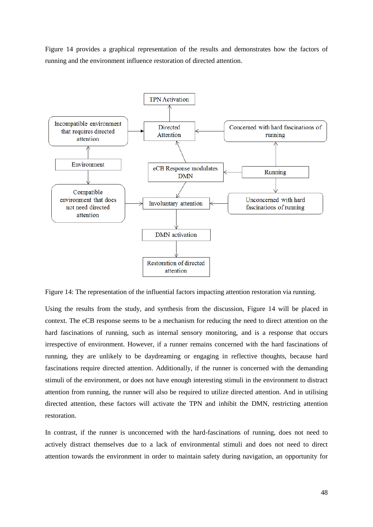Figure 14 provides a graphical representation of the results and demonstrates how the factors of running and the environment influence restoration of directed attention.



Figure 14: The representation of the influential factors impacting attention restoration via running.

Using the results from the study, and synthesis from the discussion, Figure 14 will be placed in context. The eCB response seems to be a mechanism for reducing the need to direct attention on the hard fascinations of running, such as internal sensory monitoring, and is a response that occurs irrespective of environment. However, if a runner remains concerned with the hard fascinations of running, they are unlikely to be daydreaming or engaging in reflective thoughts, because hard fascinations require directed attention. Additionally, if the runner is concerned with the demanding stimuli of the environment, or does not have enough interesting stimuli in the environment to distract attention from running, the runner will also be required to utilize directed attention. And in utilising directed attention, these factors will activate the TPN and inhibit the DMN, restricting attention restoration.

In contrast, if the runner is unconcerned with the hard-fascinations of running, does not need to actively distract themselves due to a lack of environmental stimuli and does not need to direct attention towards the environment in order to maintain safety during navigation, an opportunity for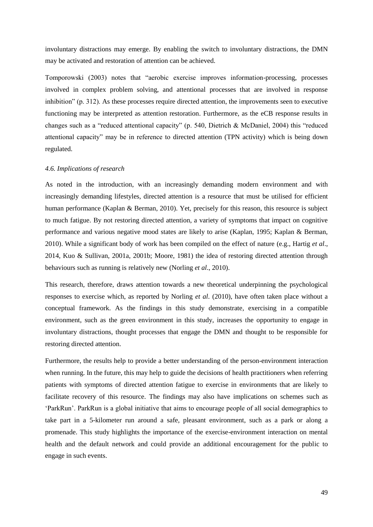involuntary distractions may emerge. By enabling the switch to involuntary distractions, the DMN may be activated and restoration of attention can be achieved.

Tomporowski (2003) notes that "aerobic exercise improves information-processing, processes involved in complex problem solving, and attentional processes that are involved in response inhibition" (p. 312). As these processes require directed attention, the improvements seen to executive functioning may be interpreted as attention restoration. Furthermore, as the eCB response results in changes such as a "reduced attentional capacity" (p. 540, Dietrich & McDaniel, 2004) this "reduced attentional capacity" may be in reference to directed attention (TPN activity) which is being down regulated.

## <span id="page-48-0"></span>*4.6. Implications of research*

As noted in the introduction, with an increasingly demanding modern environment and with increasingly demanding lifestyles, directed attention is a resource that must be utilised for efficient human performance (Kaplan & Berman, 2010). Yet, precisely for this reason, this resource is subject to much fatigue. By not restoring directed attention, a variety of symptoms that impact on cognitive performance and various negative mood states are likely to arise (Kaplan, 1995; Kaplan & Berman, 2010). While a significant body of work has been compiled on the effect of nature (e.g., Hartig *et al*., 2014, Kuo & Sullivan, 2001a, 2001b; Moore, 1981) the idea of restoring directed attention through behaviours such as running is relatively new (Norling *et al*., 2010).

This research, therefore, draws attention towards a new theoretical underpinning the psychological responses to exercise which, as reported by Norling *et al*. (2010), have often taken place without a conceptual framework. As the findings in this study demonstrate, exercising in a compatible environment, such as the green environment in this study, increases the opportunity to engage in involuntary distractions, thought processes that engage the DMN and thought to be responsible for restoring directed attention.

Furthermore, the results help to provide a better understanding of the person-environment interaction when running. In the future, this may help to guide the decisions of health practitioners when referring patients with symptoms of directed attention fatigue to exercise in environments that are likely to facilitate recovery of this resource. The findings may also have implications on schemes such as 'ParkRun'. ParkRun is a global initiative that aims to encourage people of all social demographics to take part in a 5-kilometer run around a safe, pleasant environment, such as a park or along a promenade. This study highlights the importance of the exercise-environment interaction on mental health and the default network and could provide an additional encouragement for the public to engage in such events.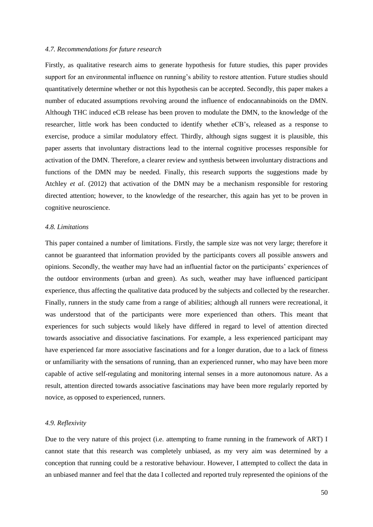## <span id="page-49-0"></span>*4.7. Recommendations for future research*

Firstly, as qualitative research aims to generate hypothesis for future studies, this paper provides support for an environmental influence on running's ability to restore attention. Future studies should quantitatively determine whether or not this hypothesis can be accepted. Secondly, this paper makes a number of educated assumptions revolving around the influence of endocannabinoids on the DMN. Although THC induced eCB release has been proven to modulate the DMN, to the knowledge of the researcher, little work has been conducted to identify whether eCB's, released as a response to exercise, produce a similar modulatory effect. Thirdly, although signs suggest it is plausible, this paper asserts that involuntary distractions lead to the internal cognitive processes responsible for activation of the DMN. Therefore, a clearer review and synthesis between involuntary distractions and functions of the DMN may be needed. Finally, this research supports the suggestions made by Atchley *et al*. (2012) that activation of the DMN may be a mechanism responsible for restoring directed attention; however, to the knowledge of the researcher, this again has yet to be proven in cognitive neuroscience.

### <span id="page-49-1"></span>*4.8. Limitations*

This paper contained a number of limitations. Firstly, the sample size was not very large; therefore it cannot be guaranteed that information provided by the participants covers all possible answers and opinions. Secondly, the weather may have had an influential factor on the participants' experiences of the outdoor environments (urban and green). As such, weather may have influenced participant experience, thus affecting the qualitative data produced by the subjects and collected by the researcher. Finally, runners in the study came from a range of abilities; although all runners were recreational, it was understood that of the participants were more experienced than others. This meant that experiences for such subjects would likely have differed in regard to level of attention directed towards associative and dissociative fascinations. For example, a less experienced participant may have experienced far more associative fascinations and for a longer duration, due to a lack of fitness or unfamiliarity with the sensations of running, than an experienced runner, who may have been more capable of active self-regulating and monitoring internal senses in a more autonomous nature. As a result, attention directed towards associative fascinations may have been more regularly reported by novice, as opposed to experienced, runners.

## <span id="page-49-2"></span>*4.9. Reflexivity*

Due to the very nature of this project (i.e. attempting to frame running in the framework of ART) I cannot state that this research was completely unbiased, as my very aim was determined by a conception that running could be a restorative behaviour. However, I attempted to collect the data in an unbiased manner and feel that the data I collected and reported truly represented the opinions of the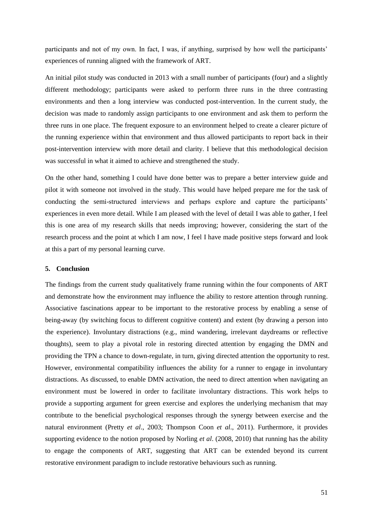participants and not of my own. In fact, I was, if anything, surprised by how well the participants' experiences of running aligned with the framework of ART.

An initial pilot study was conducted in 2013 with a small number of participants (four) and a slightly different methodology; participants were asked to perform three runs in the three contrasting environments and then a long interview was conducted post-intervention. In the current study, the decision was made to randomly assign participants to one environment and ask them to perform the three runs in one place. The frequent exposure to an environment helped to create a clearer picture of the running experience within that environment and thus allowed participants to report back in their post-intervention interview with more detail and clarity. I believe that this methodological decision was successful in what it aimed to achieve and strengthened the study.

On the other hand, something I could have done better was to prepare a better interview guide and pilot it with someone not involved in the study. This would have helped prepare me for the task of conducting the semi-structured interviews and perhaps explore and capture the participants' experiences in even more detail. While I am pleased with the level of detail I was able to gather, I feel this is one area of my research skills that needs improving; however, considering the start of the research process and the point at which I am now, I feel I have made positive steps forward and look at this a part of my personal learning curve.

### <span id="page-50-0"></span>**5. Conclusion**

The findings from the current study qualitatively frame running within the four components of ART and demonstrate how the environment may influence the ability to restore attention through running. Associative fascinations appear to be important to the restorative process by enabling a sense of being-away (by switching focus to different cognitive content) and extent (by drawing a person into the experience). Involuntary distractions (e.g., mind wandering, irrelevant daydreams or reflective thoughts), seem to play a pivotal role in restoring directed attention by engaging the DMN and providing the TPN a chance to down-regulate, in turn, giving directed attention the opportunity to rest. However, environmental compatibility influences the ability for a runner to engage in involuntary distractions. As discussed, to enable DMN activation, the need to direct attention when navigating an environment must be lowered in order to facilitate involuntary distractions. This work helps to provide a supporting argument for green exercise and explores the underlying mechanism that may contribute to the beneficial psychological responses through the synergy between exercise and the natural environment (Pretty *et al*., 2003; Thompson Coon *et al*., 2011). Furthermore, it provides supporting evidence to the notion proposed by Norling *et al*. (2008, 2010) that running has the ability to engage the components of ART, suggesting that ART can be extended beyond its current restorative environment paradigm to include restorative behaviours such as running.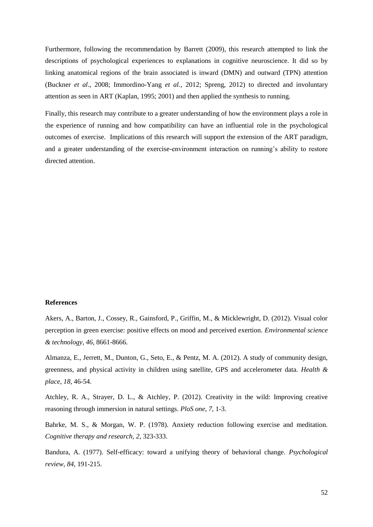Furthermore, following the recommendation by Barrett (2009), this research attempted to link the descriptions of psychological experiences to explanations in cognitive neuroscience. It did so by linking anatomical regions of the brain associated is inward (DMN) and outward (TPN) attention (Buckner *et al*., 2008; Immordino-Yang *et al.*, 2012; Spreng, 2012) to directed and involuntary attention as seen in ART (Kaplan, 1995; 2001) and then applied the synthesis to running.

Finally, this research may contribute to a greater understanding of how the environment plays a role in the experience of running and how compatibility can have an influential role in the psychological outcomes of exercise. Implications of this research will support the extension of the ART paradigm, and a greater understanding of the exercise-environment interaction on running's ability to restore directed attention.

#### <span id="page-51-0"></span>**References**

Akers, A., Barton, J., Cossey, R., Gainsford, P., Griffin, M., & Micklewright, D. (2012). Visual color perception in green exercise: positive effects on mood and perceived exertion. *Environmental science & technology*, *46*, 8661-8666.

Almanza, E., Jerrett, M., Dunton, G., Seto, E., & Pentz, M. A. (2012). A study of community design, greenness, and physical activity in children using satellite, GPS and accelerometer data. *Health & place*, *18*, 46-54.

Atchley, R. A., Strayer, D. L., & Atchley, P. (2012). Creativity in the wild: Improving creative reasoning through immersion in natural settings. *PloS one*, *7*, 1-3.

Bahrke, M. S., & Morgan, W. P. (1978). Anxiety reduction following exercise and meditation. *Cognitive therapy and research*, *2*, 323-333.

Bandura, A. (1977). Self-efficacy: toward a unifying theory of behavioral change. *Psychological review*, *84*, 191-215.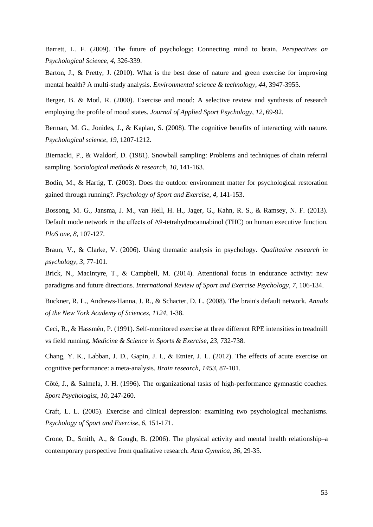Barrett, L. F. (2009). The future of psychology: Connecting mind to brain. *Perspectives on Psychological Science*, *4*, 326-339.

Barton, J., & Pretty, J. (2010). What is the best dose of nature and green exercise for improving mental health? A multi-study analysis. *Environmental science & technology*, *44*, 3947-3955.

Berger, B. & Motl, R. (2000). Exercise and mood: A selective review and synthesis of research employing the profile of mood states. *Journal of Applied Sport Psychology*, *12*, 69-92.

Berman, M. G., Jonides, J., & Kaplan, S. (2008). The cognitive benefits of interacting with nature. *Psychological science*, *19*, 1207-1212.

Biernacki, P., & Waldorf, D. (1981). Snowball sampling: Problems and techniques of chain referral sampling. *Sociological methods & research*, *10*, 141-163.

Bodin, M., & Hartig, T. (2003). Does the outdoor environment matter for psychological restoration gained through running?. *Psychology of Sport and Exercise*, *4*, 141-153.

Bossong, M. G., Jansma, J. M., van Hell, H. H., Jager, G., Kahn, R. S., & Ramsey, N. F. (2013). Default mode network in the effects of Δ9-tetrahydrocannabinol (THC) on human executive function. *PloS one*, *8*, 107-127.

Braun, V., & Clarke, V. (2006). Using thematic analysis in psychology. *Qualitative research in psychology*, *3*, 77-101.

Brick, N., MacIntyre, T., & Campbell, M. (2014). Attentional focus in endurance activity: new paradigms and future directions. *International Review of Sport and Exercise Psychology*, *7*, 106-134.

Buckner, R. L., Andrews‐Hanna, J. R., & Schacter, D. L. (2008). The brain's default network. *Annals of the New York Academy of Sciences*, *1124*, 1-38.

Ceci, R., & Hassmén, P. (1991). Self-monitored exercise at three different RPE intensities in treadmill vs field running. *Medicine & Science in Sports & Exercise*, *23*, 732-738.

Chang, Y. K., Labban, J. D., Gapin, J. I., & Etnier, J. L. (2012). The effects of acute exercise on cognitive performance: a meta-analysis. *Brain research*, *1453*, 87-101.

Côté, J., & Salmela, J. H. (1996). The organizational tasks of high-performance gymnastic coaches. *Sport Psychologist*, *10*, 247-260.

Craft, L. L. (2005). Exercise and clinical depression: examining two psychological mechanisms. *Psychology of Sport and Exercise*, *6*, 151-171.

Crone, D., Smith, A., & Gough, B. (2006). The physical activity and mental health relationship–a contemporary perspective from qualitative research. *Acta Gymnica*, *36*, 29-35.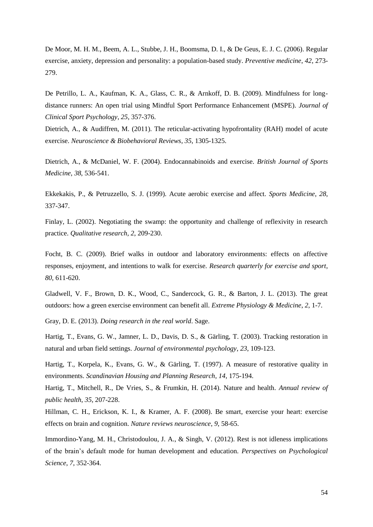De Moor, M. H. M., Beem, A. L., Stubbe, J. H., Boomsma, D. I., & De Geus, E. J. C. (2006). Regular exercise, anxiety, depression and personality: a population-based study. *Preventive medicine*, *42*, 273- 279.

De Petrillo, L. A., Kaufman, K. A., Glass, C. R., & Arnkoff, D. B. (2009). Mindfulness for longdistance runners: An open trial using Mindful Sport Performance Enhancement (MSPE). *Journal of Clinical Sport Psychology*, *25*, 357-376.

Dietrich, A., & Audiffren, M. (2011). The reticular-activating hypofrontality (RAH) model of acute exercise. *Neuroscience & Biobehavioral Reviews*, *35*, 1305-1325.

Dietrich, A., & McDaniel, W. F. (2004). Endocannabinoids and exercise. *British Journal of Sports Medicine*, *38*, 536-541.

Ekkekakis, P., & Petruzzello, S. J. (1999). Acute aerobic exercise and affect. *Sports Medicine*, *28*, 337-347.

Finlay, L. (2002). Negotiating the swamp: the opportunity and challenge of reflexivity in research practice. *Qualitative research*, *2*, 209-230.

Focht, B. C. (2009). Brief walks in outdoor and laboratory environments: effects on affective responses, enjoyment, and intentions to walk for exercise. *Research quarterly for exercise and sport*, *80*, 611-620.

Gladwell, V. F., Brown, D. K., Wood, C., Sandercock, G. R., & Barton, J. L. (2013). The great outdoors: how a green exercise environment can benefit all. *Extreme Physiology & Medicine*, *2*, 1-7.

Gray, D. E. (2013). *Doing research in the real world*. Sage.

Hartig, T., Evans, G. W., Jamner, L. D., Davis, D. S., & Gärling, T. (2003). Tracking restoration in natural and urban field settings. *Journal of environmental psychology*, *23*, 109-123.

Hartig, T., Korpela, K., Evans, G. W., & Gärling, T. (1997). A measure of restorative quality in environments. *Scandinavian Housing and Planning Research*, *14*, 175-194.

Hartig, T., Mitchell, R., De Vries, S., & Frumkin, H. (2014). Nature and health. *Annual review of public health*, *35*, 207-228.

Hillman, C. H., Erickson, K. I., & Kramer, A. F. (2008). Be smart, exercise your heart: exercise effects on brain and cognition. *Nature reviews neuroscience*, *9*, 58-65.

Immordino-Yang, M. H., Christodoulou, J. A., & Singh, V. (2012). Rest is not idleness implications of the brain's default mode for human development and education. *Perspectives on Psychological Science*, *7*, 352-364.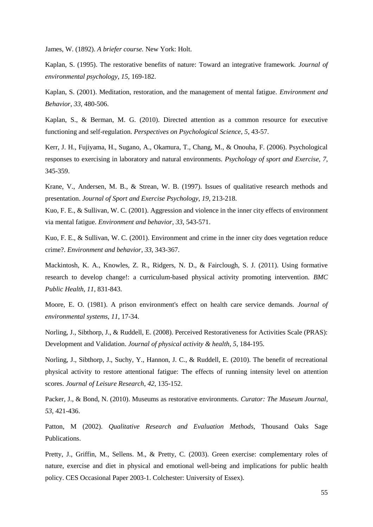James, W. (1892). *A briefer course.* New York: Holt.

Kaplan, S. (1995). The restorative benefits of nature: Toward an integrative framework. *Journal of environmental psychology*, *15*, 169-182.

Kaplan, S. (2001). Meditation, restoration, and the management of mental fatigue. *Environment and Behavior*, *33*, 480-506.

Kaplan, S., & Berman, M. G. (2010). Directed attention as a common resource for executive functioning and self-regulation. *Perspectives on Psychological Science*, *5*, 43-57.

Kerr, J. H., Fujiyama, H., Sugano, A., Okamura, T., Chang, M., & Onouha, F. (2006). Psychological responses to exercising in laboratory and natural environments. *Psychology of sport and Exercise*, *7*, 345-359.

Krane, V., Andersen, M. B., & Strean, W. B. (1997). Issues of qualitative research methods and presentation. *Journal of Sport and Exercise Psychology*, *19*, 213-218.

Kuo, F. E., & Sullivan, W. C. (2001). Aggression and violence in the inner city effects of environment via mental fatigue. *Environment and behavior*, *33*, 543-571.

Kuo, F. E., & Sullivan, W. C. (2001). Environment and crime in the inner city does vegetation reduce crime?. *Environment and behavior*, *33*, 343-367.

Mackintosh, K. A., Knowles, Z. R., Ridgers, N. D., & Fairclough, S. J. (2011). Using formative research to develop change!: a curriculum-based physical activity promoting intervention. *BMC Public Health*, *11*, 831-843.

Moore, E. O. (1981). A prison environment's effect on health care service demands. *Journal of environmental systems*, *11*, 17-34.

Norling, J., Sibthorp, J., & Ruddell, E. (2008). Perceived Restorativeness for Activities Scale (PRAS): Development and Validation. *Journal of physical activity & health*, *5*, 184-195.

Norling, J., Sibthorp, J., Suchy, Y., Hannon, J. C., & Ruddell, E. (2010). The benefit of recreational physical activity to restore attentional fatigue: The effects of running intensity level on attention scores. *Journal of Leisure Research*, *42*, 135-152.

Packer, J., & Bond, N. (2010). Museums as restorative environments. *Curator: The Museum Journal*, *53*, 421-436.

Patton, M (2002). *Qualitative Research and Evaluation Methods*, Thousand Oaks Sage Publications.

Pretty, J., Griffin, M., Sellens. M., & Pretty, C. (2003). Green exercise: complementary roles of nature, exercise and diet in physical and emotional well-being and implications for public health policy. CES Occasional Paper 2003-1. Colchester: University of Essex).